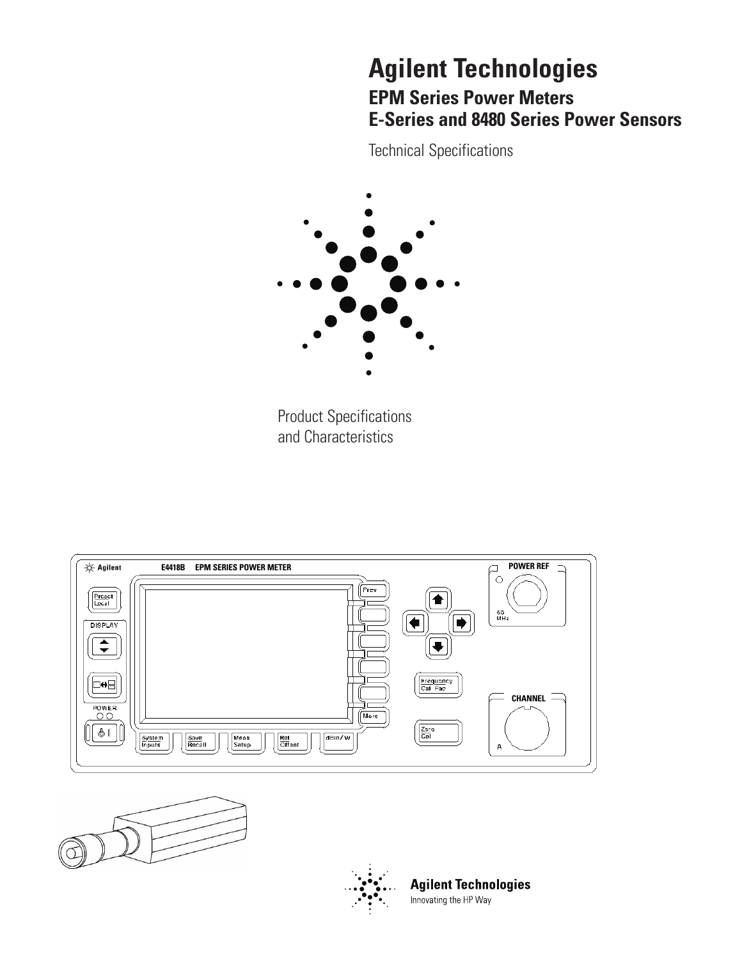# **Agilent Technologies EPM Series Power Meters**

# **E-Series and 8480 Series Power Sensors**

Technical Specifications



Product Specifications and Characteristics







**Agilent Technologies** Innovating the HP Way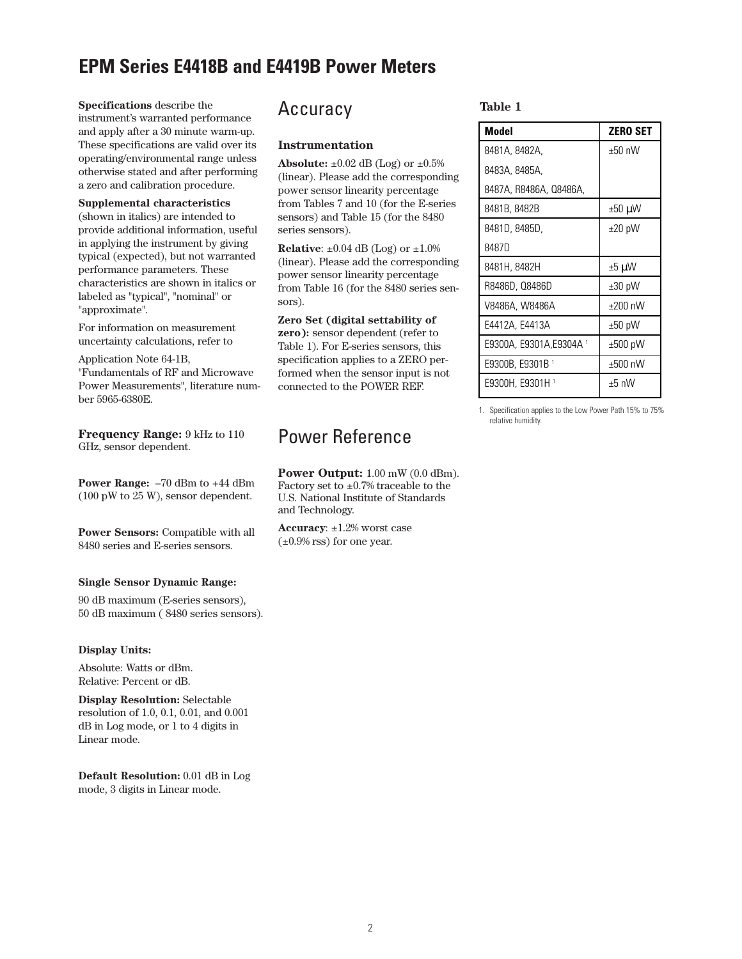## **EPM Series E4418B and E4419B Power Meters**

**Specifications** describe the instrument's warranted performance and apply after a 30 minute warm-up. These specifications are valid over its operating/environmental range unless otherwise stated and after performing a zero and calibration procedure.

#### **Supplemental characteristics**

(shown in italics) are intended to provide additional information, useful in applying the instrument by giving typical (expected), but not warranted performance parameters. These characteristics are shown in italics or labeled as "typical", "nominal" or "approximate".

For information on measurement uncertainty calculations, refer to

Application Note 64-1B, "Fundamentals of RF and Microwave Power Measurements", literature number 5965-6380E.

**Frequency Range:** 9 kHz to 110 GHz, sensor dependent.

**Power Range:** –70 dBm to +44 dBm (100 pW to 25 W), sensor dependent.

**Power Sensors:** Compatible with all 8480 series and E-series sensors.

#### **Single Sensor Dynamic Range:**

90 dB maximum (E-series sensors), 50 dB maximum ( 8480 series sensors).

### **Display Units:**

Absolute: Watts or dBm. Relative: Percent or dB.

**Display Resolution:** Selectable resolution of 1.0, 0.1, 0.01, and 0.001 dB in Log mode, or 1 to 4 digits in Linear mode.

**Default Resolution:** 0.01 dB in Log mode, 3 digits in Linear mode.

### Accuracy **Table 1**

### **Instrumentation**

**Absolute:**  $\pm 0.02$  dB (Log) or  $\pm 0.5\%$ (linear). Please add the corresponding power sensor linearity percentage from Tables 7 and 10 (for the E-series sensors) and Table 15 (for the 8480 series sensors).

**Relative**:  $\pm 0.04$  dB (Log) or  $\pm 1.0\%$ (linear). Please add the corresponding power sensor linearity percentage from Table 16 (for the 8480 series sensors).

### **Zero Set (digital settability of**

**zero):** sensor dependent (refer to Table 1). For E-series sensors, this specification applies to a ZERO performed when the sensor input is not connected to the POWER REF.

### Power Reference

**Power Output:** 1.00 mW (0.0 dBm). Factory set to  $\pm 0.7\%$  traceable to the U.S. National Institute of Standards and Technology.

**Accuracy**: ±1.2% worst case  $(\pm 0.9\%$  rss) for one year.

| Model                               | <b>ZERO SET</b> |
|-------------------------------------|-----------------|
| 8481A, 8482A,                       | $±50$ nW        |
| 8483A, 8485A,                       |                 |
| 8487A, R8486A, Q8486A,              |                 |
| 8481B, 8482B                        | ±50 µW          |
| 8481D, 8485D,                       | ±20 pW          |
| 8487D                               |                 |
| 8481H, 8482H                        | ±5 μW           |
| R8486D, Q8486D                      | $\pm 30$ pW     |
| V8486A, W8486A                      | $±200$ nW       |
| E4412A, E4413A                      | $\pm 50$ pW     |
| E9300A, E9301A, E9304A <sup>1</sup> | $\pm 500$ pW    |
| E9300B, E9301B 1                    | $\pm 500$ nW    |
| E9300H, E9301H 1                    | $±5$ nW         |

1. Specification applies to the Low Power Path 15% to 75% relative humidity.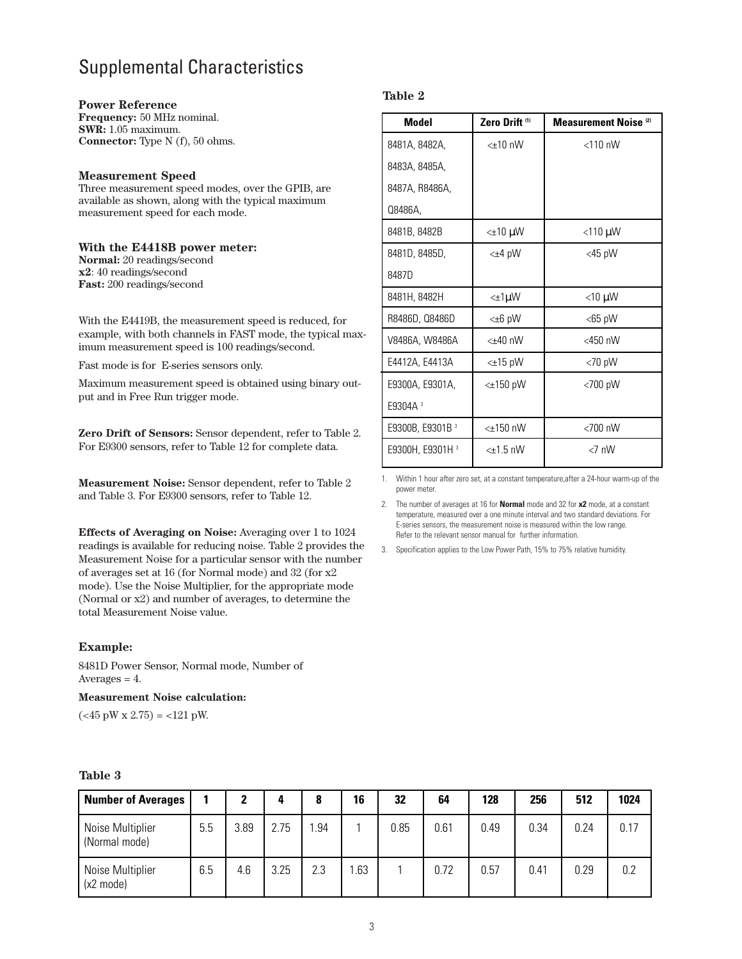### Supplemental Characteristics

#### **Power Reference**

**Frequency:** 50 MHz nominal. **SWR:** 1.05 maximum. **Connector:** Type N (f), 50 ohms.

### **Measurement Speed**

Three measurement speed modes, over the GPIB, are available as shown, along with the typical maximum measurement speed for each mode.

### **With the E4418B power meter:**

**Normal:** 20 readings/second **x2**: 40 readings/second **Fast:** 200 readings/second

With the E4419B, the measurement speed is reduced, for example, with both channels in FAST mode, the typical maximum measurement speed is 100 readings/second.

Fast mode is for E-series sensors only.

Maximum measurement speed is obtained using binary output and in Free Run trigger mode.

**Zero Drift of Sensors:** Sensor dependent, refer to Table 2. For E9300 sensors, refer to Table 12 for complete data.

**Measurement Noise:** Sensor dependent, refer to Table 2 and Table 3. For E9300 sensors, refer to Table 12.

**Effects of Averaging on Noise:** Averaging over 1 to 1024 readings is available for reducing noise. Table 2 provides the Measurement Noise for a particular sensor with the number of averages set at 16 (for Normal mode) and 32 (for x2 mode). Use the Noise Multiplier, for the appropriate mode (Normal or x2) and number of averages, to determine the total Measurement Noise value.

### **Example:**

8481D Power Sensor, Normal mode, Number of Averages  $= 4$ .

**Measurement Noise calculation:** 

 $(<45 \text{ pW x } 2.75) = <121 \text{ pW}$ .

### **Table 2**

| <b>Model</b>                | Zero Drift <sup>(1)</sup> | <b>Measurement Noise</b> <sup>(2)</sup> |
|-----------------------------|---------------------------|-----------------------------------------|
| 8481A, 8482A,               | $<\pm 10$ nW              | $<$ 110 nW                              |
| 8483A, 8485A,               |                           |                                         |
| 8487A, R8486A,              |                           |                                         |
| Q8486A,                     |                           |                                         |
| 8481B, 8482B                | <±10 µW                   | $<$ 110 $\mu$ W                         |
| 8481D, 8485D,               | $\leq\pm 4$ pW            | $<$ 45 pW                               |
| 8487D                       |                           |                                         |
| 8481H, 8482H                | <±1µW                     | $<$ 10 $\mu$ W                          |
| R8486D, Q8486D              | $\leq$ + 6 pW             | $<$ 65 pW                               |
| V8486A, W8486A              | $<\pm 40$ nW              | $<$ 450 nW                              |
| E4412A, E4413A              | $\leq$ 15 pW              | $<$ 70 pW                               |
| E9300A, E9301A,             | $<\pm 150$ pW             | $<$ 700 pW                              |
| E9304A <sup>3</sup>         |                           |                                         |
| E9300B, E9301B <sup>3</sup> | $<\pm 150$ nW             | $<$ 700 $nW$                            |
| E9300H, E9301H <sup>3</sup> | $<\pm 1.5$ nW             | $<7$ nW                                 |

1. Within 1 hour after zero set, at a constant temperature,after a 24-hour warm-up of the power meter.

2. The number of averages at 16 for **Normal** mode and 32 for **x2** mode, at a constant temperature, measured over a one minute interval and two standard deviations. For E-series sensors, the measurement noise is measured within the low range. Refer to the relevant sensor manual for further information.

3. Specification applies to the Low Power Path, 15% to 75% relative humidity.

| <b>Number of Averages</b>               |     |      | 4    | 8   | 16  | 32   | 64   | 128  | 256  | 512  | 1024 |
|-----------------------------------------|-----|------|------|-----|-----|------|------|------|------|------|------|
| Noise Multiplier<br>(Normal mode)       | 5.5 | 3.89 | 2.75 | .94 |     | 0.85 | 0.61 | 0.49 | 0.34 | 0.24 | 0.17 |
| Noise Multiplier<br>$(x2 \text{ mode})$ | 6.5 | 4.6  | 3.25 | 2.3 | .63 |      | 0.72 | 0.57 | 0.41 | 0.29 | 0.2  |

### **Table 3**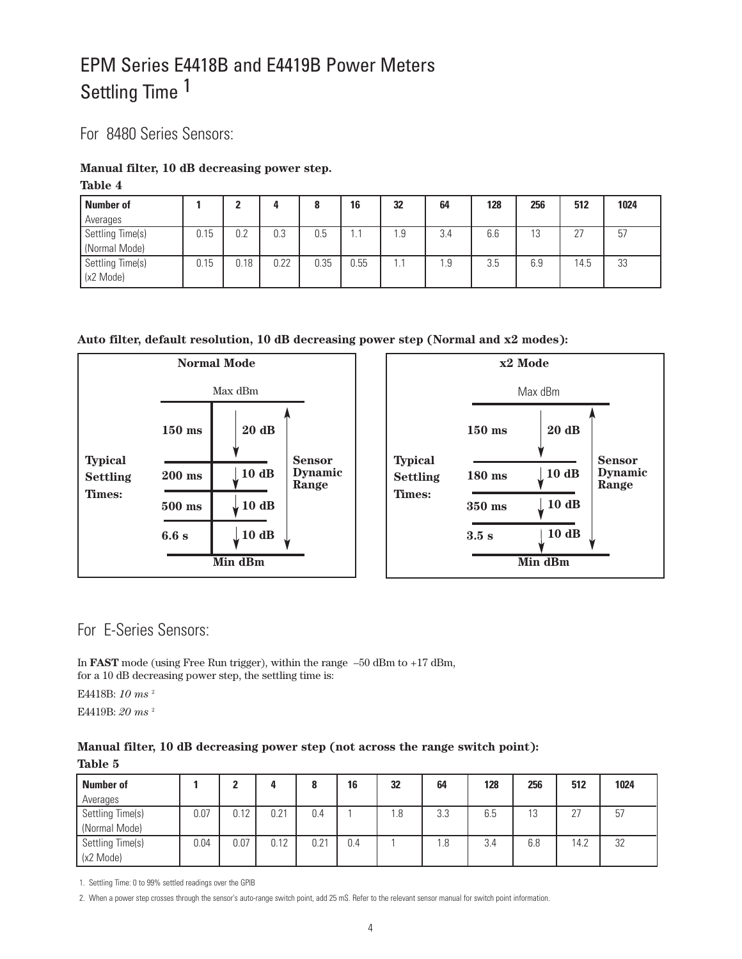## EPM Series E4418B and E4419B Power Meters Settling Time 1

For 8480 Series Sensors:

### **Manual filter, 10 dB decreasing power step. Table 4**

| <b>Number of</b> |      | ີ<br>- |      |      | 16   | 32    | 64  | 128 | 256 | 512  | 1024 |
|------------------|------|--------|------|------|------|-------|-----|-----|-----|------|------|
| Averages         |      |        |      |      |      |       |     |     |     |      |      |
| Settling Time(s) | 0.15 | 0.2    | 0.3  | 0.5  | . .  | . 9   | 3.4 | 6.6 | 12  | 27   | 57   |
| (Normal Mode)    |      |        |      |      |      |       |     |     |     |      |      |
| Settling Time(s) | 0.15 | 0.18   | 0.22 | 0.35 | 0.55 | I . I | و ، | 3.5 | 6.9 | 14.5 | 33   |
| (x2 Mode)        |      |        |      |      |      |       |     |     |     |      |      |

### **Auto filter, default resolution, 10 dB decreasing power step (Normal and x2 modes):**

| <b>Normal Mode</b>                                 |          |               |                                          |  |                                   |          | x2 Mode                                  |  |
|----------------------------------------------------|----------|---------------|------------------------------------------|--|-----------------------------------|----------|------------------------------------------|--|
| <b>Typical</b><br><b>Settling</b><br><b>Times:</b> |          | Max dBm       |                                          |  |                                   | Max dBm  |                                          |  |
|                                                    | $150$ ms | 20dB          | <b>Sensor</b><br><b>Dynamic</b><br>Range |  |                                   | $150$ ms | <b>20 dB</b>                             |  |
|                                                    | 200 ms   | $\vert$ 10 dB |                                          |  | <b>Typical</b><br><b>Settling</b> | $180$ ms | <b>Sensor</b><br><b>Dynamic</b><br>Range |  |
|                                                    | $500$ ms | 10dB          |                                          |  | <b>Times:</b>                     | 350 ms   | 10dB                                     |  |
|                                                    | 6.6s     | 10 dB         |                                          |  |                                   | 3.5s     | 10dB                                     |  |
|                                                    |          | Min dBm       |                                          |  |                                   | Min dBm  |                                          |  |

For E-Series Sensors:

In **FAST** mode (using Free Run trigger), within the range –50 dBm to +17 dBm, for a 10 dB decreasing power step, the settling time is:

E4418B: *10 ms* <sup>2</sup> E4419B: *20 ms* <sup>2</sup>

### **Manual filter, 10 dB decreasing power step (not across the range switch point):**

| I<br>T<br>l'abie |
|------------------|
|------------------|

| <b>Number of</b> |      |      |      |      | 16  | 32  | 64  | 128 | 256                   | 512  | 1024 |
|------------------|------|------|------|------|-----|-----|-----|-----|-----------------------|------|------|
| Averages         |      |      |      |      |     |     |     |     |                       |      |      |
| Settling Time(s) | 0.07 | 0.12 | 0.21 | 0.4  |     | 1.8 | 3.3 | 6.5 | 1 <sub>0</sub><br>ں ا | 27   | 57   |
| (Normal Mode)    |      |      |      |      |     |     |     |     |                       |      |      |
| Settling Time(s) | 0.04 | 0.07 | 0.12 | 0.21 | 0.4 |     | .8  | 3.4 | 6.8                   | 14.2 | 32   |
| (x2 Mode)        |      |      |      |      |     |     |     |     |                       |      |      |

1. Settling Time: 0 to 99% settled readings over the GPIB

2. When a power step crosses through the sensor's auto-range switch point, add 25 mS. Refer to the relevant sensor manual for switch point information.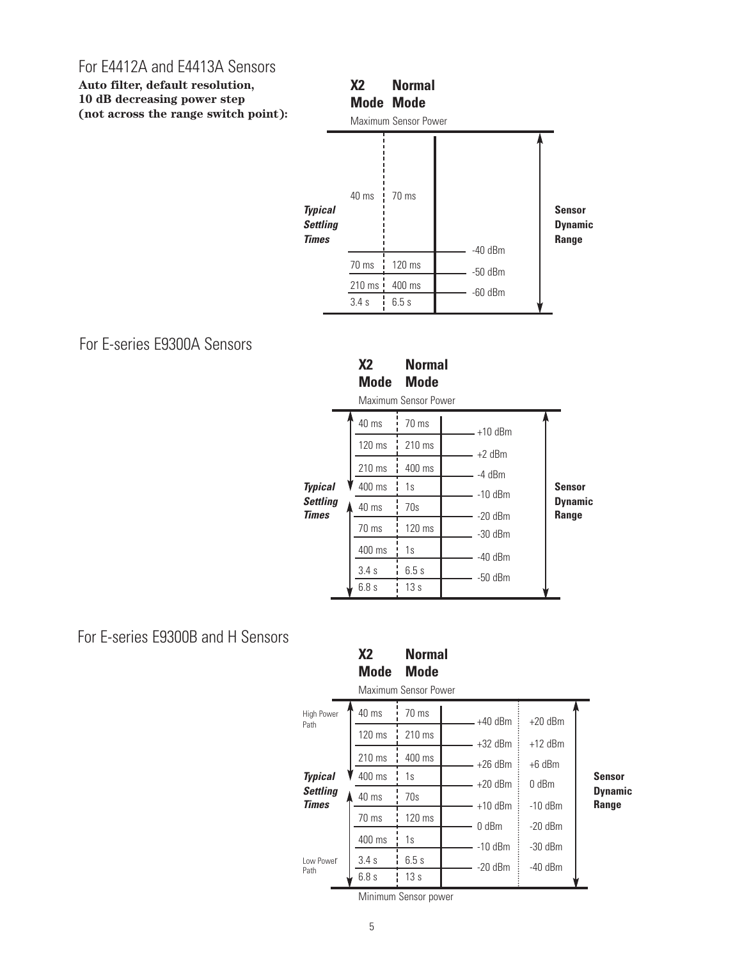### For E4412A and E4413A Sensors

**Auto filter, default resolution, 10 dB decreasing power step (not across the range switch point):**

### **X2 Normal**





For E-series E9300A Sensors



For E-series E9300B and H Sensors

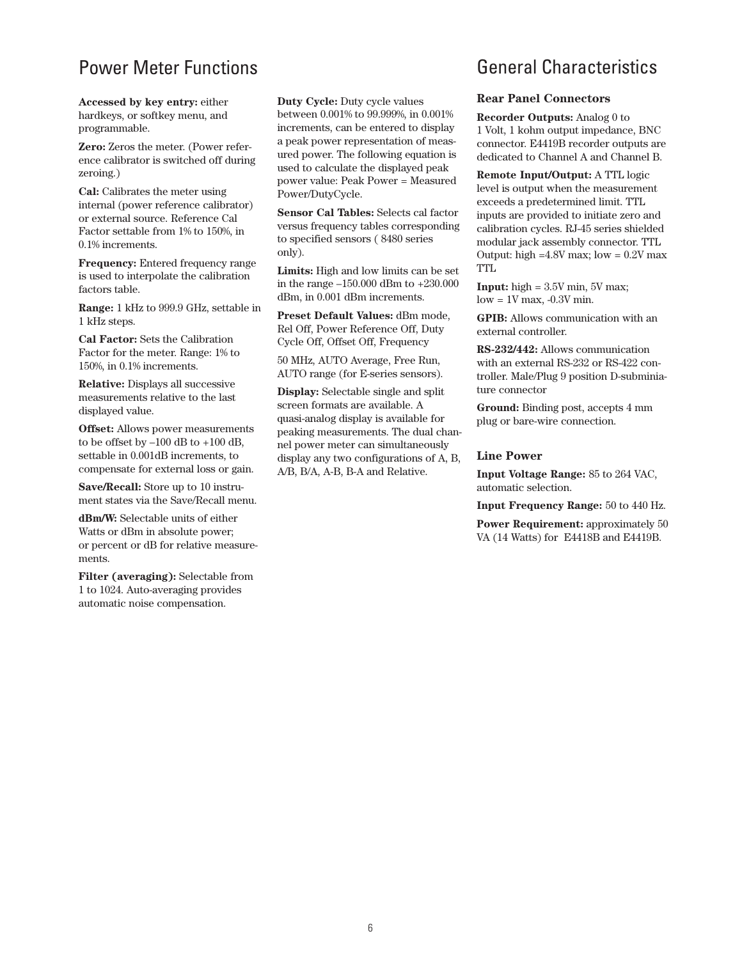### Power Meter Functions

**Accessed by key entry:** either hardkeys, or softkey menu, and programmable.

**Zero:** Zeros the meter. (Power reference calibrator is switched off during zeroing.)

**Cal:** Calibrates the meter using internal (power reference calibrator) or external source. Reference Cal Factor settable from 1% to 150%, in 0.1% increments.

**Frequency:** Entered frequency range is used to interpolate the calibration factors table.

**Range:** 1 kHz to 999.9 GHz, settable in 1 kHz steps.

**Cal Factor:** Sets the Calibration Factor for the meter. Range: 1% to 150%, in 0.1% increments.

**Relative:** Displays all successive measurements relative to the last displayed value.

**Offset:** Allows power measurements to be offset by  $-100$  dB to  $+100$  dB, settable in 0.001dB increments, to compensate for external loss or gain.

**Save/Recall:** Store up to 10 instrument states via the Save/Recall menu.

**dBm/W:** Selectable units of either Watts or dBm in absolute power; or percent or dB for relative measurements.

**Filter (averaging):** Selectable from 1 to 1024. Auto-averaging provides automatic noise compensation.

**Duty Cycle:** Duty cycle values between 0.001% to 99.999%, in 0.001% increments, can be entered to display a peak power representation of measured power. The following equation is used to calculate the displayed peak power value: Peak Power = Measured Power/DutyCycle.

**Sensor Cal Tables:** Selects cal factor versus frequency tables corresponding to specified sensors ( 8480 series only).

**Limits:** High and low limits can be set in the range –150.000 dBm to +230.000 dBm, in 0.001 dBm increments.

**Preset Default Values:** dBm mode, Rel Off, Power Reference Off, Duty Cycle Off, Offset Off, Frequency

50 MHz, AUTO Average, Free Run, AUTO range (for E-series sensors).

**Display:** Selectable single and split screen formats are available. A quasi-analog display is available for peaking measurements. The dual channel power meter can simultaneously display any two configurations of A, B, A/B, B/A, A-B, B-A and Relative.

### General Characteristics

### **Rear Panel Connectors**

**Recorder Outputs:** Analog 0 to 1 Volt, 1 kohm output impedance, BNC connector. E4419B recorder outputs are dedicated to Channel A and Channel B.

**Remote Input/Output:** A TTL logic level is output when the measurement exceeds a predetermined limit. TTL inputs are provided to initiate zero and calibration cycles. RJ-45 series shielded modular jack assembly connector. TTL Output: high  $=4.8V$  max; low  $= 0.2V$  max TTL

**Input:** high = 3.5V min, 5V max;  $low = 1V$  max,  $-0.3V$  min.

**GPIB:** Allows communication with an external controller.

**RS-232/442:** Allows communication with an external RS-232 or RS-422 controller. Male/Plug 9 position D-subminiature connector

**Ground:** Binding post, accepts 4 mm plug or bare-wire connection.

### **Line Power**

**Input Voltage Range:** 85 to 264 VAC, automatic selection.

**Input Frequency Range:** 50 to 440 Hz.

**Power Requirement:** approximately 50 VA (14 Watts) for E4418B and E4419B.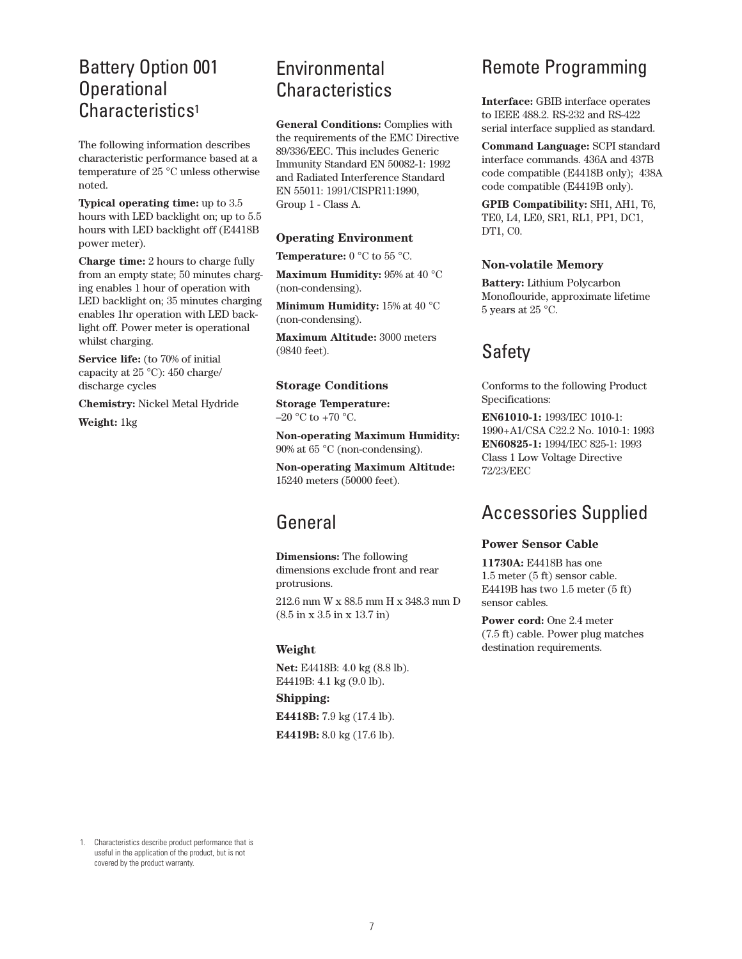### Battery Option 001 **Operational** Characteristics<sup>1</sup>

The following information describes characteristic performance based at a temperature of 25 °C unless otherwise noted.

**Typical operating time:** up to 3.5 hours with LED backlight on; up to 5.5 hours with LED backlight off (E4418B power meter).

**Charge time:** 2 hours to charge fully from an empty state; 50 minutes charging enables 1 hour of operation with LED backlight on; 35 minutes charging enables 1hr operation with LED backlight off. Power meter is operational whilst charging.

**Service life:** (to 70% of initial capacity at 25 °C): 450 charge/ discharge cycles

**Chemistry:** Nickel Metal Hydride

**Weight:** 1kg

### **Environmental Characteristics**

**General Conditions:** Complies with the requirements of the EMC Directive 89/336/EEC. This includes Generic Immunity Standard EN 50082-1: 1992 and Radiated Interference Standard EN 55011: 1991/CISPR11:1990, Group 1 - Class A.

### **Operating Environment**

**Temperature:** 0 °C to 55 °C.

**Maximum Humidity:** 95% at 40 °C (non-condensing).

**Minimum Humidity:** 15% at 40 °C (non-condensing).

**Maximum Altitude:** 3000 meters (9840 feet).

### **Storage Conditions**

**Storage Temperature:**  $-20$  °C to  $+70$  °C.

**Non-operating Maximum Humidity:** 90% at 65 °C (non-condensing).

**Non-operating Maximum Altitude:** 15240 meters (50000 feet).

## General

**Dimensions:** The following dimensions exclude front and rear protrusions.

212.6 mm W x 88.5 mm H x 348.3 mm D (8.5 in x 3.5 in x 13.7 in)

### **Weight**

**Net:** E4418B: 4.0 kg (8.8 lb). E4419B: 4.1 kg (9.0 lb).

#### **Shipping:**

**E4418B:** 7.9 kg (17.4 lb). **E4419B:** 8.0 kg (17.6 lb).

### Remote Programming

**Interface:** GBIB interface operates to IEEE 488.2. RS-232 and RS-422 serial interface supplied as standard.

**Command Language:** SCPI standard interface commands. 436A and 437B code compatible (E4418B only); 438A code compatible (E4419B only).

**GPIB Compatibility:** SH1, AH1, T6, TE0, L4, LE0, SR1, RL1, PP1, DC1, DT1, C0.

### **Non-volatile Memory**

**Battery:** Lithium Polycarbon Monoflouride, approximate lifetime 5 years at 25 °C.

## Safety

Conforms to the following Product Specifications:

**EN61010-1:** 1993/IEC 1010-1: 1990+A1/CSA C22.2 No. 1010-1: 1993 **EN60825-1:** 1994/IEC 825-1: 1993 Class 1 Low Voltage Directive 72/23/EEC

### Accessories Supplied

### **Power Sensor Cable**

**11730A:** E4418B has one 1.5 meter (5 ft) sensor cable. E4419B has two  $1.5$  meter  $(5 \text{ ft})$ sensor cables.

**Power cord:** One 2.4 meter (7.5 ft) cable. Power plug matches destination requirements.

1. Characteristics describe product performance that is useful in the application of the product, but is not covered by the product warranty.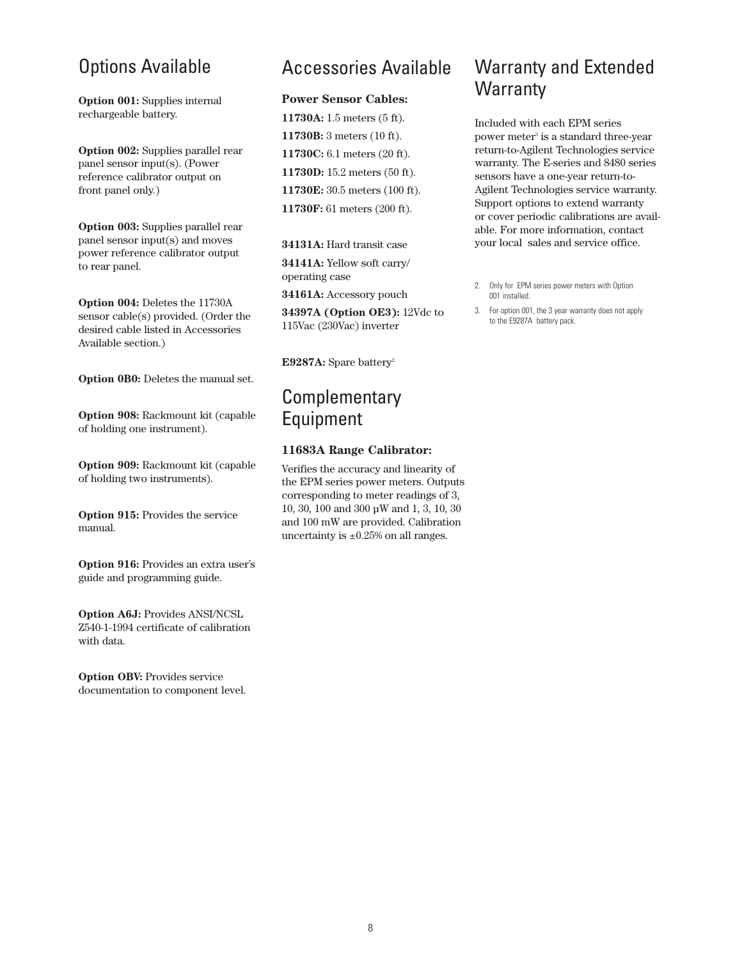## Options Available

**Option 001:** Supplies internal rechargeable battery.

**Option 002:** Supplies parallel rear panel sensor input(s). (Power reference calibrator output on front panel only.)

**Option 003:** Supplies parallel rear panel sensor input(s) and moves power reference calibrator output to rear panel.

**Option 004:** Deletes the 11730A sensor cable(s) provided. (Order the desired cable listed in Accessories Available section.)

**Option 0B0:** Deletes the manual set.

**Option 908:** Rackmount kit (capable of holding one instrument).

**Option 909:** Rackmount kit (capable of holding two instruments).

**Option 915:** Provides the service manual.

**Option 916:** Provides an extra user's guide and programming guide.

**Option A6J:** Provides ANSI/NCSL Z540-1-1994 certificate of calibration with data.

**Option OBV:** Provides service documentation to component level.

### Accessories Available

### **Power Sensor Cables:**

**11730A:** 1.5 meters (5 ft). **11730B:** 3 meters (10 ft). **11730C:** 6.1 meters (20 ft). **11730D:** 15.2 meters (50 ft). **11730E:** 30.5 meters (100 ft). **11730F:** 61 meters (200 ft).

**34131A:** Hard transit case

**34141A:** Yellow soft carry/ operating case

**34161A:** Accessory pouch

**34397A (Option OE3):** 12Vdc to 115Vac (230Vac) inverter

E9287A: Spare battery<sup>2</sup>

### **Complementary** Equipment

### **11683A Range Calibrator:**

Verifies the accuracy and linearity of the EPM series power meters. Outputs corresponding to meter readings of 3, 10, 30, 100 and 300 µW and 1, 3, 10, 30 and 100 mW are provided. Calibration uncertainty is  $\pm 0.25\%$  on all ranges.

### Warranty and Extended **Warranty**

Included with each EPM series power meter<sup>3</sup> is a standard three-year return-to-Agilent Technologies service warranty. The E-series and 8480 series sensors have a one-year return-to-Agilent Technologies service warranty. Support options to extend warranty or cover periodic calibrations are available. For more information, contact your local sales and service office.

- 2. Only for EPM series power meters with Option 001 installed.
- 3. For option 001, the 3 year warranty does not apply to the E9287A battery pack.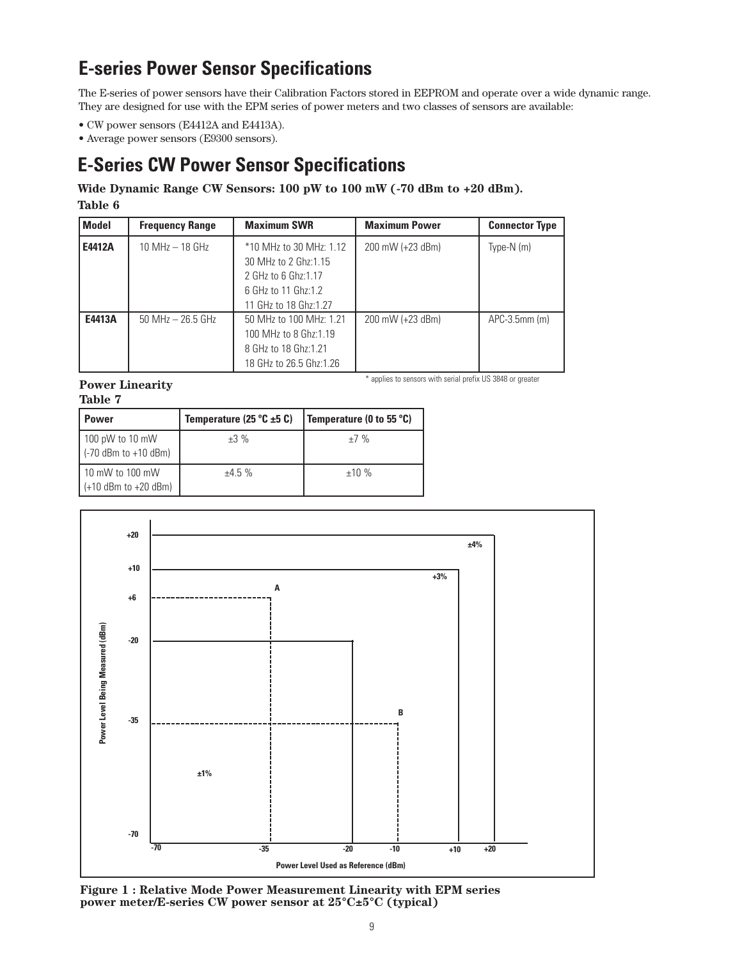## **E-series Power Sensor Specifications**

The E-series of power sensors have their Calibration Factors stored in EEPROM and operate over a wide dynamic range. They are designed for use with the EPM series of power meters and two classes of sensors are available:

\* applies to sensors with serial prefix US 3848 or greater

- CW power sensors (E4412A and E4413A).
- Average power sensors (E9300 sensors).

## **E-Series CW Power Sensor Specifications**

**Wide Dynamic Range CW Sensors: 100 pW to 100 mW (-70 dBm to +20 dBm).**

**Table 6**

| <b>Model</b> | <b>Frequency Range</b>            | <b>Maximum SWR</b>                                                                                                     | <b>Maximum Power</b> | <b>Connector Type</b> |
|--------------|-----------------------------------|------------------------------------------------------------------------------------------------------------------------|----------------------|-----------------------|
| E4412A       | $10 \text{ MHz} - 18 \text{ GHz}$ | *10 MHz to 30 MHz: 1.12<br>30 MHz to 2 Ghz:1.15<br>2 GHz to 6 Ghz:1.17<br>6 GHz to 11 Ghz:1.2<br>11 GHz to 18 Ghz:1.27 | 200 mW (+23 dBm)     | Type- $N(m)$          |
| E4413A       | $50$ MHz $-$ 26.5 GHz             | 50 MHz to 100 MHz: 1.21<br>100 MHz to 8 Ghz:1.19<br>8 GHz to 18 Ghz:1.21<br>18 GHz to 26.5 Ghz:1.26                    | 200 mW (+23 dBm)     | $APC-3.5mm(m)$        |

#### **Power Linearity Table 7**

| <b>Power</b>                                | Temperature (25 °C $\pm$ 5 C) | Temperature (0 to 55 °C) |
|---------------------------------------------|-------------------------------|--------------------------|
| 100 pW to 10 mW<br>$(-70$ dBm to $+10$ dBm) | $\pm 3\%$                     | $+7\%$                   |
| 10 mW to 100 mW<br>$(+10$ dBm to $+20$ dBm) | ±4.5%                         | ±10%                     |



**Figure 1 : Relative Mode Power Measurement Linearity with EPM series power meter/E-series CW power sensor at 25°C±5°C (typical)**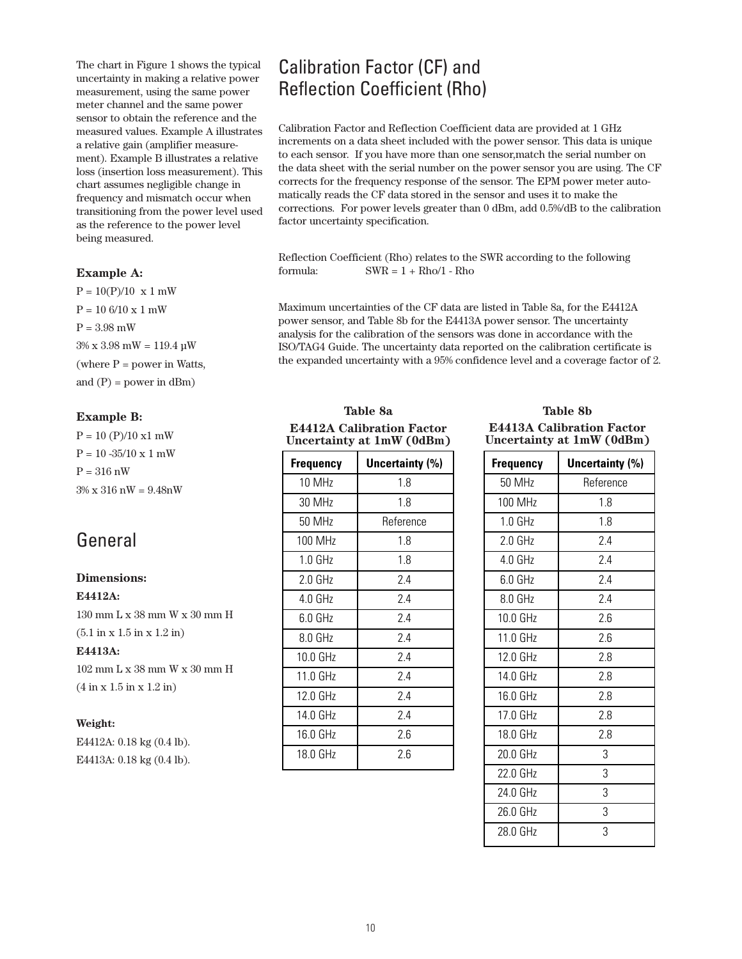The chart in Figure 1 shows the typical uncertainty in making a relative power measurement, using the same power meter channel and the same power sensor to obtain the reference and the measured values. Example A illustrates a relative gain (amplifier measurement). Example B illustrates a relative loss (insertion loss measurement). This chart assumes negligible change in frequency and mismatch occur when transitioning from the power level used as the reference to the power level being measured.

### **Example A:**

 $P = 10(P)/10 \text{ x } 1 \text{ mW}$  $P = 10\frac{6}{10} \times 1$  mW  $P = 3.98$  mW  $3\% \times 3.98$  mW = 119.4 µW (where  $P = power$  in Watts, and  $(P)$  = power in dBm)

### **Example B:**

 $P = 10 (P)/10 x1 mW$  $P = 10 - 35/10 \times 1$  mW  $P = 316$  nW 3% x 316 nW = 9.48nW

### General

### **Dimensions:**

**E4412A:** 

130 mm L x 38 mm W x 30 mm H (5.1 in x 1.5 in x 1.2 in)

### **E4413A:**

102 mm L x 38 mm W x 30 mm H (4 in x 1.5 in x 1.2 in)

### **Weight:**

E4412A: 0.18 kg (0.4 lb). E4413A: 0.18 kg (0.4 lb).

## Calibration Factor (CF) and Reflection Coefficient (Rho)

Calibration Factor and Reflection Coefficient data are provided at 1 GHz increments on a data sheet included with the power sensor. This data is unique to each sensor. If you have more than one sensor,match the serial number on the data sheet with the serial number on the power sensor you are using. The CF corrects for the frequency response of the sensor. The EPM power meter automatically reads the CF data stored in the sensor and uses it to make the corrections. For power levels greater than 0 dBm, add 0.5%/dB to the calibration factor uncertainty specification.

Reflection Coefficient (Rho) relates to the SWR according to the following formula:  $SWR = 1 + Rho/1 - Rho$ 

Maximum uncertainties of the CF data are listed in Table 8a, for the E4412A power sensor, and Table 8b for the E4413A power sensor. The uncertainty analysis for the calibration of the sensors was done in accordance with the ISO/TAG4 Guide. The uncertainty data reported on the calibration certificate is the expanded uncertainty with a 95% confidence level and a coverage factor of 2.

### **Table 8a**

### **E4412A Calibration Factor Uncertainty at 1mW (0dBm)**

| <b>Frequency</b>   | Uncertainty (%) |
|--------------------|-----------------|
| 10 MHz             | 1.8             |
| 30 MHz             | 1.8             |
| 50 MHz             | Reference       |
| 100 MHz            | 1.8             |
| 1.0 <sub>GHz</sub> | 1.8             |
| $2.0$ GHz          | 2.4             |
| $4.0$ GHz          | 2.4             |
| 6.0 GHz            | 2.4             |
| 8.0 GHz            | 24              |
| 10.0 GHz           | 24              |
| 11.0 GHz           | 24              |
| 12.0 GHz           | 24              |
| 14.0 GHz           | 24              |
| 16.0 GHz           | 2.6             |
| 18.0 GHz           | 2.6             |

### **Table 8b**

**E4413A Calibration Factor Uncertainty at 1mW (0dBm)**

| <b>Frequency</b> | Uncertainty (%) |
|------------------|-----------------|
| <b>50 MHz</b>    | Reference       |
| 100 MHz          | 18              |
| $1.0$ GHz        | 1.8             |
| $2.0$ GHz        | 24              |
| 4.0 GHz          | 2.4             |
| 6.0 GHz          | 74              |
| 8 0 GHz          | 74              |
| 10.0 GHz         | 2.6             |
| 11.0 GHz         | 26              |
| 12.0 GHz         | 2.8             |
| 14.0 GHz         | 28              |
| 16.0 GHz         | 2.8             |
| 17.0 GHz         | 2.8             |
| 18.0 GHz         | 2.8             |
| 20.0 GHz         | 3               |
| 22.0 GHz         | 3               |
| 24.0 GHz         | 3               |
| 26.0 GHz         | 3               |
| 28.0 GHz         | 3               |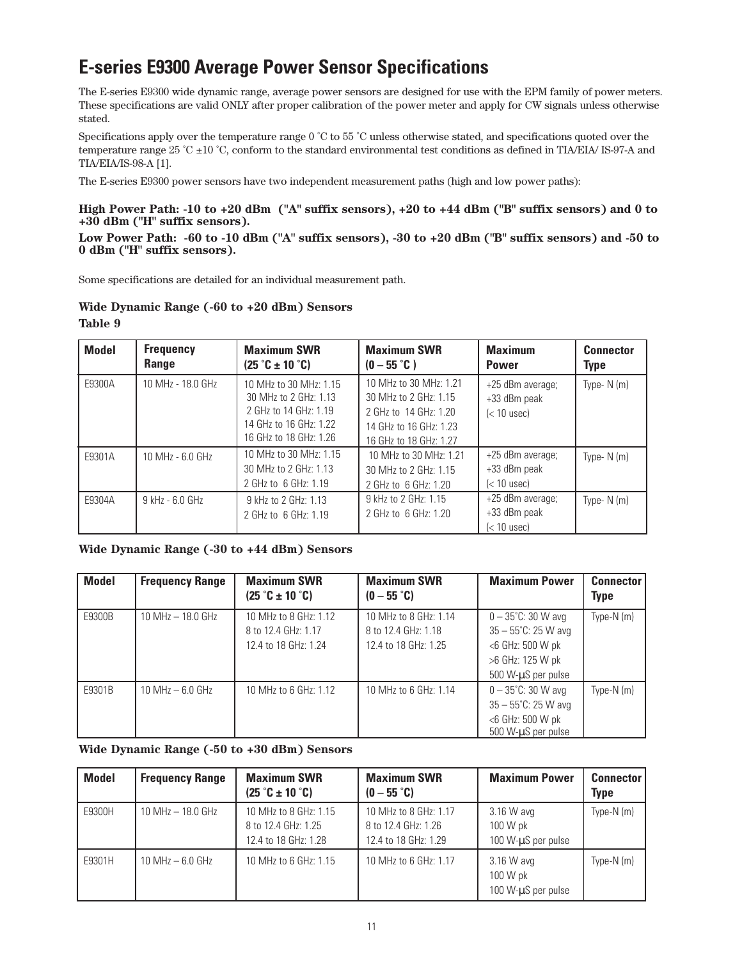## **E-series E9300 Average Power Sensor Specifications**

The E-series E9300 wide dynamic range, average power sensors are designed for use with the EPM family of power meters. These specifications are valid ONLY after proper calibration of the power meter and apply for CW signals unless otherwise stated.

Specifications apply over the temperature range 0 °C to 55 °C unless otherwise stated, and specifications quoted over the temperature range 25 ˚C ±10 ˚C, conform to the standard environmental test conditions as defined in TIA/EIA/ IS-97-A and TIA/EIA/IS-98-A [1].

The E-series E9300 power sensors have two independent measurement paths (high and low power paths):

### **High Power Path: -10 to +20 dBm ("A" suffix sensors), +20 to +44 dBm ("B" suffix sensors) and 0 to +30 dBm ("H" suffix sensors).**

**Low Power Path: -60 to -10 dBm ("A" suffix sensors), -30 to +20 dBm ("B" suffix sensors) and -50 to 0 dBm ("H" suffix sensors).**

Some specifications are detailed for an individual measurement path.

### **Wide Dynamic Range (-60 to +20 dBm) Sensors**

**Table 9**

| <b>Model</b> | <b>Frequency</b><br>Range | <b>Maximum SWR</b><br>$(25 \degree C \pm 10 \degree C)$                                                                      | <b>Maximum SWR</b><br>$(0 - 55 \degree C)$                                                                                   | <b>Maximum</b><br><b>Power</b>                    | <b>Connector</b><br><b>Type</b> |
|--------------|---------------------------|------------------------------------------------------------------------------------------------------------------------------|------------------------------------------------------------------------------------------------------------------------------|---------------------------------------------------|---------------------------------|
| E9300A       | 10 MHz - 18.0 GHz         | 10 MHz to 30 MHz: 1.15<br>30 MHz to 2 GHz: 1.13<br>2 GHz to 14 GHz: 1.19<br>14 GHz to 16 GHz: 1.22<br>16 GHz to 18 GHz: 1.26 | 10 MHz to 30 MHz: 1.21<br>30 MHz to 2 GHz: 1.15<br>2 GHz to 14 GHz: 1.20<br>14 GHz to 16 GHz: 1.23<br>16 GHz to 18 GHz: 1.27 | +25 dBm average;<br>+33 dBm peak<br>$(< 10$ usec) | Type- $N(m)$                    |
| E9301A       | 10 MHz - 6.0 GHz          | 10 MHz to 30 MHz: 1.15<br>30 MHz to 2 GHz: 1.13<br>2 GHz to 6 GHz: 1.19                                                      | 10 MHz to 30 MHz: 1.21<br>30 MHz to 2 GHz: 1.15<br>2 GHz to 6 GHz: 1.20                                                      | +25 dBm average;<br>+33 dBm peak<br>$(< 10$ usec) | Type- N (m)                     |
| E9304A       | 9 kHz - 6.0 GHz           | 9 kHz to 2 GHz: 1.13<br>2 GHz to 6 GHz: 1.19                                                                                 | 9 kHz to 2 GHz: 1.15<br>2 GHz to 6 GHz: 1.20                                                                                 | +25 dBm average;<br>+33 dBm peak<br>$(< 10$ usec) | Type- $N(m)$                    |

### **Wide Dynamic Range (-30 to +44 dBm) Sensors**

| <b>Model</b> | <b>Frequency Range</b> | <b>Maximum SWR</b><br>$(25 \degree C \pm 10 \degree C)$              | <b>Maximum SWR</b><br>$(0 - 55 \degree C)$                           | <b>Maximum Power</b>                                                                                                           | <b>Connector</b><br><b>Type</b> |
|--------------|------------------------|----------------------------------------------------------------------|----------------------------------------------------------------------|--------------------------------------------------------------------------------------------------------------------------------|---------------------------------|
| E9300B       | 10 MHz $-$ 18.0 GHz    | 10 MHz to 8 GHz: 1.12<br>8 to 12.4 GHz: 1.17<br>12.4 to 18 GHz: 1.24 | 10 MHz to 8 GHz: 1.14<br>8 to 12.4 GHz: 1.18<br>12.4 to 18 GHz: 1.25 | $0 - 35^{\circ}$ C: 30 W avg<br>$35 - 55^{\circ}$ C: 25 W avg<br>$<$ 6 GHz: 500 W pk<br>>6 GHz: 125 W pk<br>500 W-µS per pulse | Type- $N(m)$                    |
| E9301B       | $10$ MHz $-$ 6.0 GHz   | 10 MHz to 6 GHz: 1.12                                                | 10 MHz to 6 GHz: 1.14                                                | $0 - 35^{\circ}$ C: 30 W avg<br>$35 - 55^{\circ}$ C: 25 W avg<br>$<$ 6 GHz: 500 W pk<br>500 W-µS per pulse                     | Type- $N(m)$                    |

### **Wide Dynamic Range (-50 to +30 dBm) Sensors**

| <b>Model</b> | <b>Frequency Range</b> | <b>Maximum SWR</b><br>$(25 \degree C \pm 10 \degree C)$              | <b>Maximum SWR</b><br>$(0 - 55 \degree C)$                           | <b>Maximum Power</b>                         | <b>Connector</b><br><b>Type</b> |
|--------------|------------------------|----------------------------------------------------------------------|----------------------------------------------------------------------|----------------------------------------------|---------------------------------|
| E9300H       | 10 MHz $-$ 18.0 GHz    | 10 MHz to 8 GHz: 1.15<br>8 to 12.4 GHz: 1.25<br>12.4 to 18 GHz: 1.28 | 10 MHz to 8 GHz: 1.17<br>8 to 12.4 GHz: 1.26<br>12.4 to 18 GHz: 1.29 | 3.16 W avg<br>100 W pk<br>100 W-uS per pulse | Type-N (m)                      |
| E9301H       | 10 MHz $-6.0$ GHz      | 10 MHz to 6 GHz: 1.15                                                | 10 MHz to 6 GHz: 1.17                                                | 3.16 W avg<br>100 W pk<br>100 W-µS per pulse | Type- $N(m)$                    |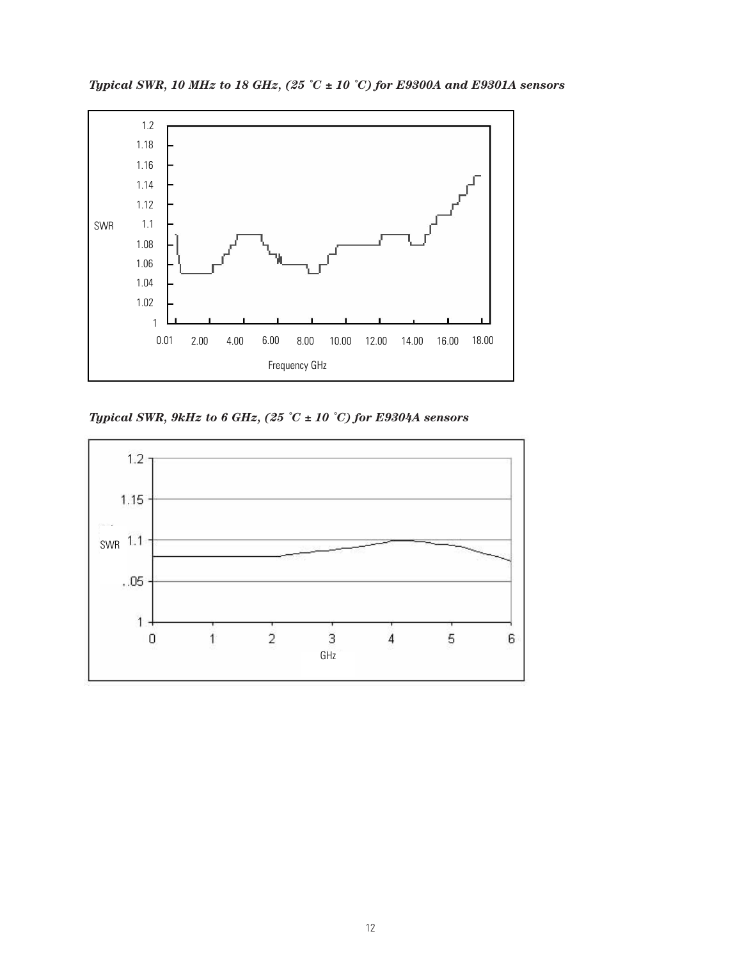

*Typical SWR, 10 MHz to 18 GHz, (25 ˚C ± 10 ˚C) for E9300A and E9301A sensors*

*Typical SWR, 9kHz to 6 GHz, (25 ˚C ± 10 ˚C) for E9304A sensors*

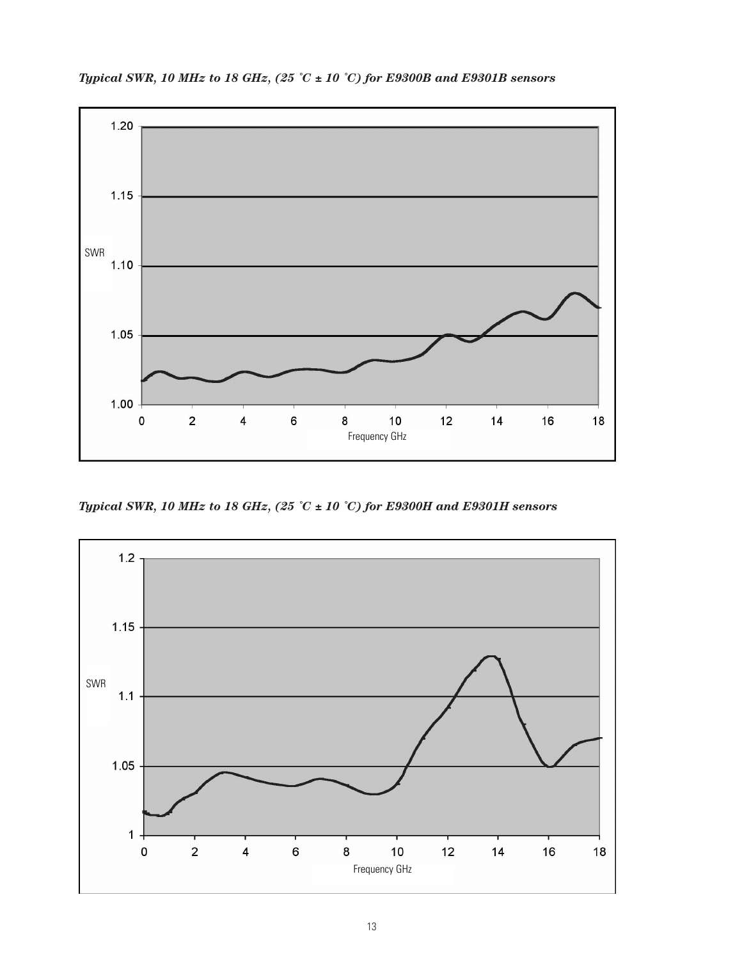

*Typical SWR, 10 MHz to 18 GHz, (25 ˚C ± 10 ˚C) for E9300B and E9301B sensors*

*Typical SWR, 10 MHz to 18 GHz, (25 ˚C ± 10 ˚C) for E9300H and E9301H sensors*

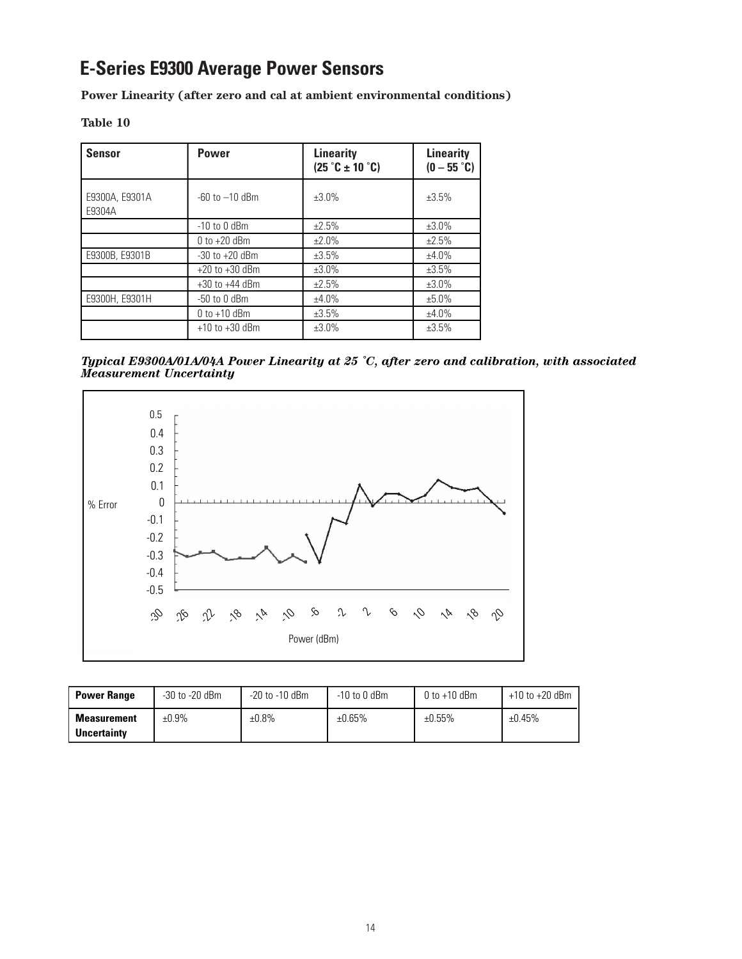## **E-Series E9300 Average Power Sensors**

**Power Linearity (after zero and cal at ambient environmental conditions)**

### **Table 10**

| <b>Sensor</b>            | <b>Power</b>       | <b>Linearity</b><br>$(25 \degree C \pm 10 \degree C)$ | <b>Linearity</b><br>$(0 - 55 °C)$ |
|--------------------------|--------------------|-------------------------------------------------------|-----------------------------------|
| E9300A, E9301A<br>E9304A | $-60$ to $-10$ dBm | ±3.0%                                                 | ±3.5%                             |
|                          | $-10$ to 0 dBm     | ±2.5%                                                 | $±3.0\%$                          |
|                          | $0$ to $+20$ dBm   | ±2.0%                                                 | ±2.5%                             |
| E9300B, E9301B           | $-30$ to $+20$ dBm | ±3.5%                                                 | $±4.0\%$                          |
|                          | $+20$ to $+30$ dBm | $±3.0\%$                                              | ±3.5%                             |
|                          | $+30$ to $+44$ dBm | ±2.5%                                                 | $±3.0\%$                          |
| E9300H, E9301H           | $-50$ to 0 dBm     | ±4.0%                                                 | ±5.0%                             |
|                          | $0$ to $+10$ dBm   | ±3.5%                                                 | ±4.0%                             |
|                          | $+10$ to $+30$ dBm | ±3.0%                                                 | ±3.5%                             |

*Typical E9300A/01A/04A Power Linearity at 25 ˚C, after zero and calibration, with associated Measurement Uncertainty*



| <b>Power Range</b>                       | -30 to -20 dBm | $-20$ to $-10$ dBm | $-10$ to 0 dBm | $0$ to $+10$ dBm | $+10$ to $+20$ dBm |
|------------------------------------------|----------------|--------------------|----------------|------------------|--------------------|
| <b>Measurement</b><br><b>Uncertainty</b> | $±0.9\%$       | $±0.8\%$           | ±0.65%         | ±0.55%           | ±0.45%             |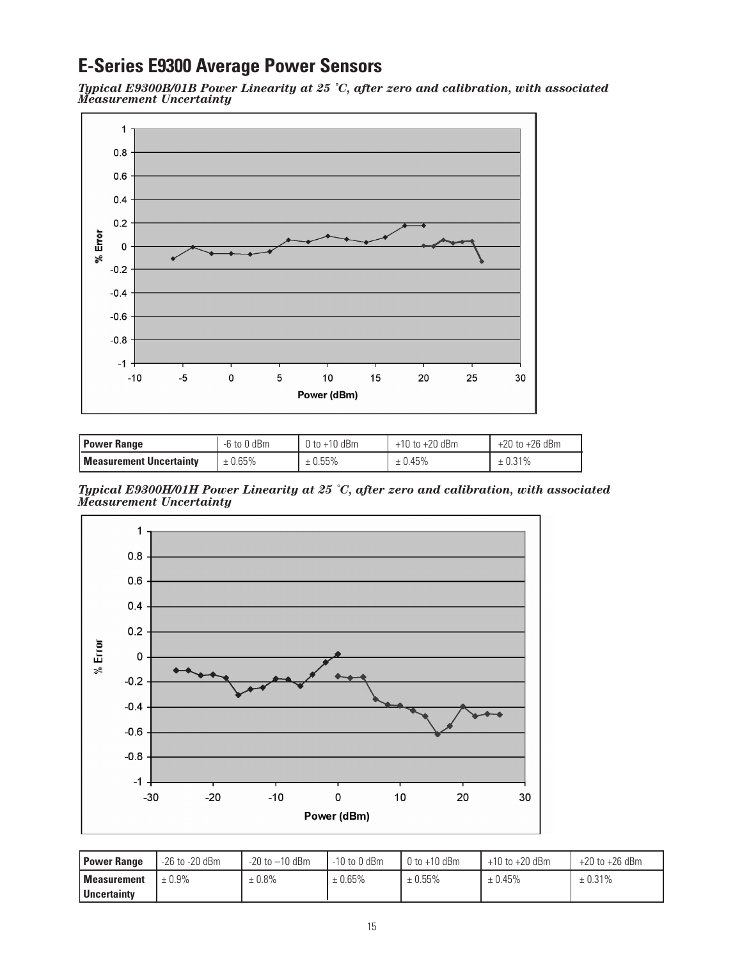## **E-Series E9300 Average Power Sensors**

*Typical E9300B/01B Power Linearity at 25 ˚C, after zero and calibration, with associated Measurement Uncertainty*



| <b>Power Range</b>             | $-6$ to 0 dBm | $0$ to $+10$ dBm | $+10$ to $+20$ dBm | $+20$ to $+26$ dBm |
|--------------------------------|---------------|------------------|--------------------|--------------------|
| <b>Measurement Uncertainty</b> | ± 0.65%       | $± 0.55\%$       | ± 0.45%            | ± 0.31%            |

*Typical E9300H/01H Power Linearity at 25 ˚C, after zero and calibration, with associated Measurement Uncertainty*



| l Power Range | -26 to -20 dBm | $-20$ to $-10$ dBm | $\mathsf{I}$ -10 to 0 dBm | $0$ to +10 dBm | $+10$ to $+20$ dBm | $+20$ to $+26$ dBm |
|---------------|----------------|--------------------|---------------------------|----------------|--------------------|--------------------|
| l Measurement | $± 0.9\%$      | $\pm 0.8\%$        | $± 0.65\%$                | $± 0.55\%$     | ± 0.45%            | $\pm 0.31\%$       |
| l Uncertainty |                |                    |                           |                |                    |                    |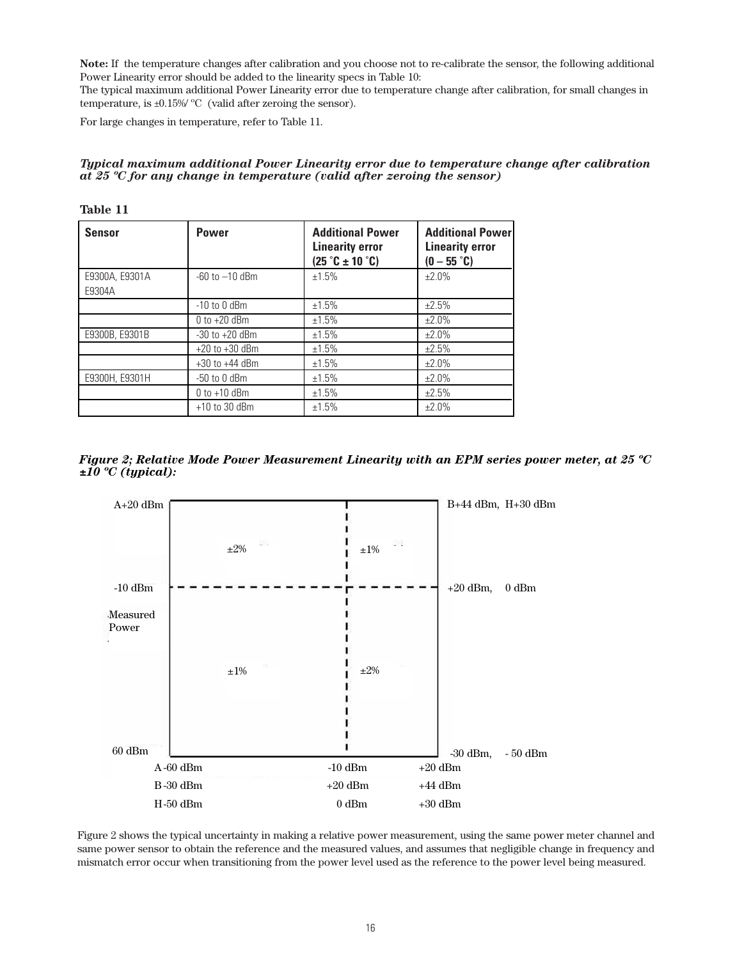**Note:** If the temperature changes after calibration and you choose not to re-calibrate the sensor, the following additional Power Linearity error should be added to the linearity specs in Table 10:

The typical maximum additional Power Linearity error due to temperature change after calibration, for small changes in temperature, is ±0.15%/ ºC (valid after zeroing the sensor).

For large changes in temperature, refer to Table 11.

**Table 11**

### *Typical maximum additional Power Linearity error due to temperature change after calibration at 25 ºC for any change in temperature (valid after zeroing the sensor)*

| <b>Sensor</b>  | <b>Power</b>       | <b>Additional Power</b><br><b>Linearity error</b><br>$(25 °C \pm 10 °C)$ | <b>Additional Power</b><br><b>Linearity error</b><br>$(0 - 55 \degree C)$ |
|----------------|--------------------|--------------------------------------------------------------------------|---------------------------------------------------------------------------|
| E9300A, E9301A | $-60$ to $-10$ dBm | ±1.5%                                                                    | $+2.0%$                                                                   |
| E9304A         |                    |                                                                          |                                                                           |
|                | $-10$ to 0 dBm     | ±1.5%                                                                    | ±2.5%                                                                     |
|                | $0$ to $+20$ dBm   | ±1.5%                                                                    | ±2.0%                                                                     |
| E9300B, E9301B | $-30$ to $+20$ dBm | ±1.5%                                                                    | ±2.0%                                                                     |
|                | $+20$ to $+30$ dBm | ±1.5%                                                                    | ±2.5%                                                                     |
|                | $+30$ to $+44$ dBm | ±1.5%                                                                    | ±2.0%                                                                     |
| E9300H, E9301H | $-50$ to 0 dBm     | ±1.5%                                                                    | ±2.0%                                                                     |
|                | $0$ to $+10$ dBm   | ±1.5%                                                                    | ±2.5%                                                                     |
|                | $+10$ to 30 dBm    | ±1.5%                                                                    | $+2.0%$                                                                   |

*Figure 2; Relative Mode Power Measurement Linearity with an EPM series power meter, at 25 ºC ±10 ºC (typical):*



Figure 2 shows the typical uncertainty in making a relative power measurement, using the same power meter channel and same power sensor to obtain the reference and the measured values, and assumes that negligible change in frequency and mismatch error occur when transitioning from the power level used as the reference to the power level being measured.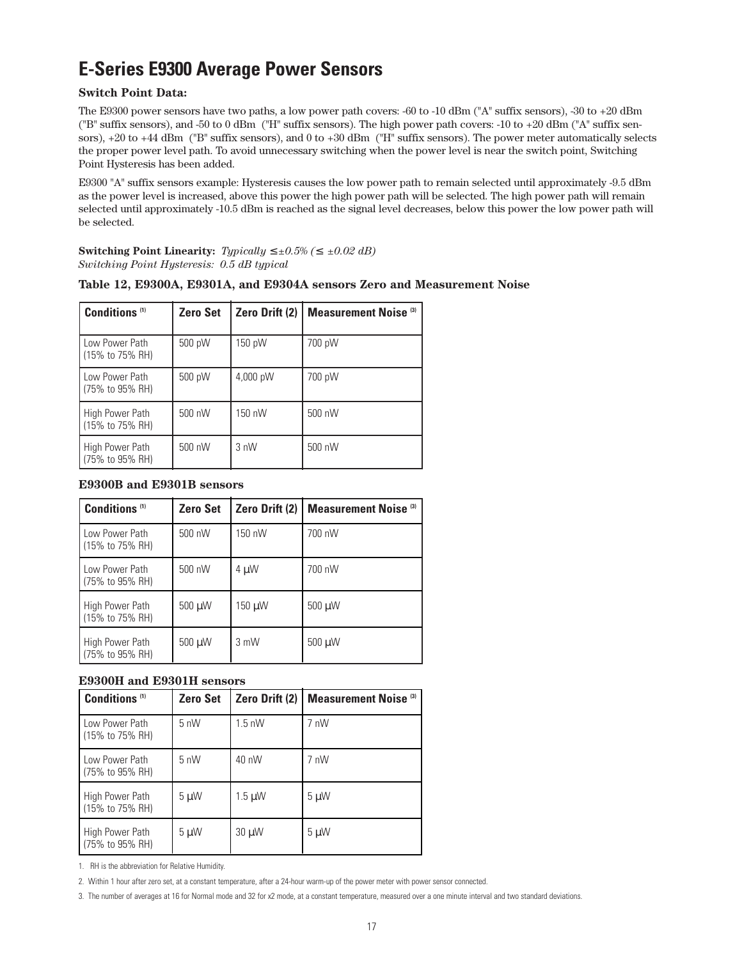## **E-Series E9300 Average Power Sensors**

### **Switch Point Data:**

The E9300 power sensors have two paths, a low power path covers: -60 to -10 dBm ("A" suffix sensors), -30 to +20 dBm ("B" suffix sensors), and -50 to 0 dBm ("H" suffix sensors). The high power path covers: -10 to +20 dBm ("A" suffix sensors), +20 to +44 dBm ("B" suffix sensors), and 0 to +30 dBm ("H" suffix sensors). The power meter automatically selects the proper power level path. To avoid unnecessary switching when the power level is near the switch point, Switching Point Hysteresis has been added.

E9300 "A" suffix sensors example: Hysteresis causes the low power path to remain selected until approximately -9.5 dBm as the power level is increased, above this power the high power path will be selected. The high power path will remain selected until approximately -10.5 dBm is reached as the signal level decreases, below this power the low power path will be selected.

**Switching Point Linearity:** *Typically*  $\leq \pm 0.5\%$  ( $\leq \pm 0.02$  dB) *Switching Point Hysteresis: 0.5 dB typical*

| Conditions <sup>(1)</sup>           | <b>Zero Set</b> | Zero Drift (2) | <b>Measurement Noise</b> (3) |
|-------------------------------------|-----------------|----------------|------------------------------|
| Low Power Path<br>l (15% to 75% RH) | 500 pW          | 150 pW         | 700 pW                       |
| Low Power Path<br>(75% to 95% RH)   | 500 pW          | 4,000 pW       | 700 pW                       |
| High Power Path<br>(15% to 75% RH)  | 500 nW          | 150 nW         | 500 nW                       |
| High Power Path<br>(75% to 95% RH)  | 500 nW          | $3 \text{ nW}$ | 500 nW                       |

### **Table 12, E9300A, E9301A, and E9304A sensors Zero and Measurement Noise**

### **E9300B and E9301B sensors**

| Conditions <sup>(1)</sup>          | <b>Zero Set</b> | Zero Drift (2) | <b>Measurement Noise (3)</b> |
|------------------------------------|-----------------|----------------|------------------------------|
| Low Power Path<br>(15% to 75% RH)  | 500 nW          | 150 nW         | 700 nW                       |
| Low Power Path<br>(75% to 95% RH)  | 500 nW          | $4 \mu W$      | 700 nW                       |
| High Power Path<br>(15% to 75% RH) | 500 µW          | 150 µW         | $500 \mu W$                  |
| High Power Path<br>(75% to 95% RH) | 500 µW          | 3 mW           | $500 \mu W$                  |

### **E9300H and E9301H sensors**

| Conditions <sup>(1)</sup>          | <b>Zero Set</b> | Zero Drift (2)   | <b>Measurement Noise (3)</b> |
|------------------------------------|-----------------|------------------|------------------------------|
| Low Power Path<br>(15% to 75% RH)  | 5 nW            | $1.5 \text{ nW}$ | 7 nW                         |
| Low Power Path<br>(75% to 95% RH)  | $5 \n mW$       | 40 nW            | 7 nW                         |
| High Power Path<br>(15% to 75% RH) | $5 \mu W$       | 1.5 µW           | $5 \mu W$                    |
| High Power Path<br>(75% to 95% RH) | $5 \mu W$       | $30 \mu W$       | $5 \mu W$                    |

1. RH is the abbreviation for Relative Humidity.

2. Within 1 hour after zero set, at a constant temperature, after a 24-hour warm-up of the power meter with power sensor connected.

3. The number of averages at 16 for Normal mode and 32 for x2 mode, at a constant temperature, measured over a one minute interval and two standard deviations.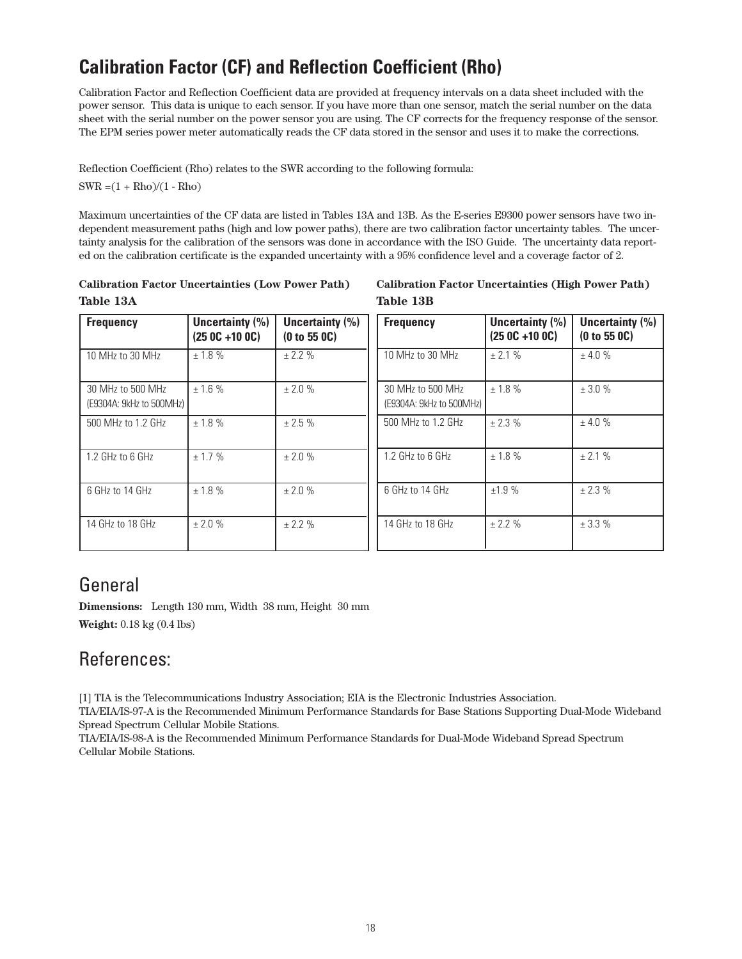## **Calibration Factor (CF) and Reflection Coefficient (Rho)**

Calibration Factor and Reflection Coefficient data are provided at frequency intervals on a data sheet included with the power sensor. This data is unique to each sensor. If you have more than one sensor, match the serial number on the data sheet with the serial number on the power sensor you are using. The CF corrects for the frequency response of the sensor. The EPM series power meter automatically reads the CF data stored in the sensor and uses it to make the corrections.

Reflection Coefficient (Rho) relates to the SWR according to the following formula:

 $SWR = (1 + Rho)/(1 - Rho)$ 

Maximum uncertainties of the CF data are listed in Tables 13A and 13B. As the E-series E9300 power sensors have two independent measurement paths (high and low power paths), there are two calibration factor uncertainty tables. The uncertainty analysis for the calibration of the sensors was done in accordance with the ISO Guide. The uncertainty data reported on the calibration certificate is the expanded uncertainty with a 95% confidence level and a coverage factor of 2.

# **Table 13A Table 13B**

**Calibration Factor Uncertainties (Low Power Path) Calibration Factor Uncertainties (High Power Path)**

| <b>Frequency</b>                              | Uncertainty (%)<br>$(250C + 100C)$ | Uncertainty $(\% )$<br>(0 to 55 0C) | <b>Frequency</b>                              | Uncertainty (%)<br>$(250C + 100C)$ | Uncertainty (%)<br>(0 to 55 0C) |
|-----------------------------------------------|------------------------------------|-------------------------------------|-----------------------------------------------|------------------------------------|---------------------------------|
| 10 MHz to 30 MHz                              | ± 1.8%                             | ± 2.2%                              | 10 MHz to 30 MHz                              | ± 2.1 %                            | ± 4.0%                          |
| 30 MHz to 500 MHz<br>(E9304A: 9kHz to 500MHz) | ± 1.6%                             | ± 2.0 %                             | 30 MHz to 500 MHz<br>(E9304A: 9kHz to 500MHz) | ± 1.8%                             | ± 3.0 %                         |
| 500 MHz to 1.2 GHz                            | ± 1.8%                             | ± 2.5%                              | 500 MHz to 1.2 GHz                            | $+2.3%$                            | ± 4.0%                          |
| 1.2 $GHz$ to 6 $GHz$                          | ± 1.7 %                            | ± 2.0 %                             | 1.2 GHz to 6 GHz                              | ± 1.8%                             | ± 2.1 %                         |
| 6 GHz to 14 GHz                               | ± 1.8%                             | ± 2.0 %                             | 6 GHz to 14 GHz                               | ±1.9%                              | $+2.3%$                         |
| 14 GHz to 18 GHz                              | ± 2.0 %                            | ± 2.2%                              | 14 GHz to 18 GHz                              | $+2.2%$                            | ± 3.3%                          |

## General

**Dimensions:** Length 130 mm, Width 38 mm, Height 30 mm **Weight:** 0.18 kg (0.4 lbs)

## References:

[1] TIA is the Telecommunications Industry Association; EIA is the Electronic Industries Association.

TIA/EIA/IS-97-A is the Recommended Minimum Performance Standards for Base Stations Supporting Dual-Mode Wideband Spread Spectrum Cellular Mobile Stations.

TIA/EIA/IS-98-A is the Recommended Minimum Performance Standards for Dual-Mode Wideband Spread Spectrum Cellular Mobile Stations.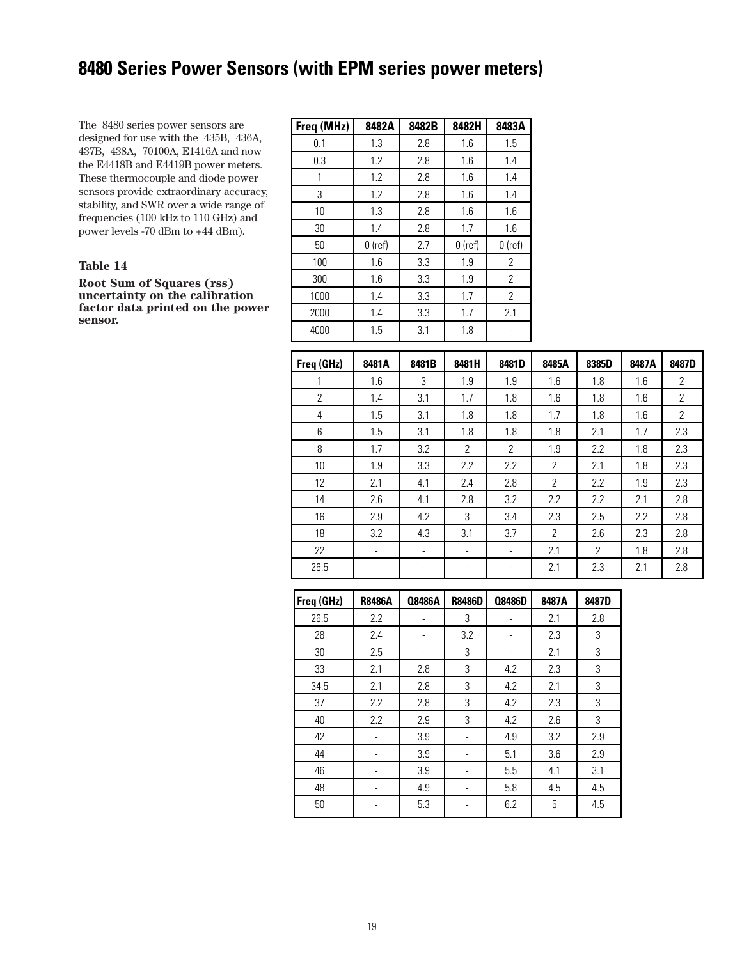## **8480 Series Power Sensors (with EPM series power meters)**

The 8480 series power sensors are designed for use with the 435B, 436A, 437B, 438A, 70100A, E1416A and now the E4418B and E4419B power meters. These thermocouple and diode power sensors provide extraordinary accuracy, stability, and SWR over a wide range of frequencies (100 kHz to 110 GHz) and power levels -70 dBm to +44 dBm).

### **Table 14**

**Root Sum of Squares (rss) uncertainty on the calibration factor data printed on the power sensor.**

| Freq (MHz) | 8482A     | 8482B | 8482H     | 8483A     |
|------------|-----------|-------|-----------|-----------|
| 0.1        | 1.3       | 2.8   | 1.6       | 1.5       |
| 0.3        | 1.2       | 2.8   | 1.6       | 1.4       |
| 1          | 1.2       | 2.8   | 1.6       | 1.4       |
| 3          | 1.2       | 2.8   | 1.6       | 1.4       |
| 10         | 1.3       | 2.8   | 1.6       | 1.6       |
| 30         | 1.4       | 2.8   | 1.7       | 1.6       |
| 50         | $0$ (ref) | 2.7   | $0$ (ref) | $0$ (ref) |
| 100        | 1.6       | 3.3   | 1.9       | 2         |
| 300        | 1.6       | 3.3   | 1.9       | 2         |
| 1000       | 1.4       | 3.3   | 1.7       | 2         |
| 2000       | 1.4       | 3.3   | 1.7       | 2.1       |
| 4000       | 1.5       | 3.1   | 1.8       |           |

| Freq (GHz)     | 8481A                    | 8481B                    | 8481H                    | 8481D                    | 8485A          | 8385D          | 8487A | 8487D          |
|----------------|--------------------------|--------------------------|--------------------------|--------------------------|----------------|----------------|-------|----------------|
| 1              | 1.6                      | 3                        | 1.9                      | 1.9                      | 1.6            | 1.8            | 1.6   | 2              |
| $\overline{2}$ | 1.4                      | 3.1                      | 1.7                      | 1.8                      | 1.6            | 1.8            | 1.6   | 2              |
| 4              | 1.5                      | 3.1                      | 1.8                      | 1.8                      | 1.7            | 1.8            | 1.6   | $\overline{2}$ |
| 6              | 1.5                      | 3.1                      | 1.8                      | 1.8                      | 1.8            | 2.1            | 1.7   | 2.3            |
| 8              | 1.7                      | 3.2                      | 2                        | 2                        | 1.9            | 2.2            | 1.8   | 2.3            |
| 10             | 1.9                      | 3.3                      | 2.2                      | 2.2                      | 2              | 2.1            | 1.8   | 2.3            |
| 12             | 2.1                      | 4.1                      | 2.4                      | 2.8                      | $\overline{2}$ | 2.2            | 1.9   | 2.3            |
| 14             | 2.6                      | 4.1                      | 2.8                      | 3.2                      | 2.2            | 2.2            | 2.1   | 2.8            |
| 16             | 2.9                      | 4.2                      | 3                        | 3.4                      | 2.3            | 2.5            | 2.2   | 2.8            |
| 18             | 3.2                      | 4.3                      | 3.1                      | 3.7                      | $\overline{2}$ | 2.6            | 2.3   | 2.8            |
| 22             | $\overline{\phantom{a}}$ | $\overline{\phantom{a}}$ | $\overline{\phantom{a}}$ | $\overline{\phantom{a}}$ | 2.1            | $\overline{2}$ | 1.8   | 2.8            |
| 26.5           | ۰                        |                          | ٠                        | -                        | 2.1            | 2.3            | 2.1   | 2.8            |

| Freq (GHz) | <b>R8486A</b>            | <b>Q8486A</b> | <b>R8486D</b>            | Q8486D | 8487A | 8487D |
|------------|--------------------------|---------------|--------------------------|--------|-------|-------|
| 26.5       | 2.2                      |               | 3                        |        | 2.1   | 2.8   |
| 28         | 2.4                      |               | 3.2                      |        | 2.3   | 3     |
| 30         | 2.5                      |               | 3                        |        | 2.1   | 3     |
| 33         | 2.1                      | 2.8           | 3                        | 4.2    | 2.3   | 3     |
| 34.5       | 2.1                      | 2.8           | 3                        | 4.2    | 2.1   | 3     |
| 37         | 2.2                      | 2.8           | 3                        | 4.2    | 2.3   | 3     |
| 40         | 2.2                      | 2.9           | 3                        | 4.2    | 2.6   | 3     |
| 42         |                          | 3.9           | -                        | 4.9    | 3.2   | 2.9   |
| 44         |                          | 3.9           |                          | 5.1    | 3.6   | 2.9   |
| 46         |                          | 3.9           |                          | 5.5    | 4.1   | 3.1   |
| 48         | $\overline{\phantom{a}}$ | 4.9           | $\overline{\phantom{a}}$ | 5.8    | 4.5   | 4.5   |
| 50         |                          | 5.3           |                          | 6.2    | 5     | 4.5   |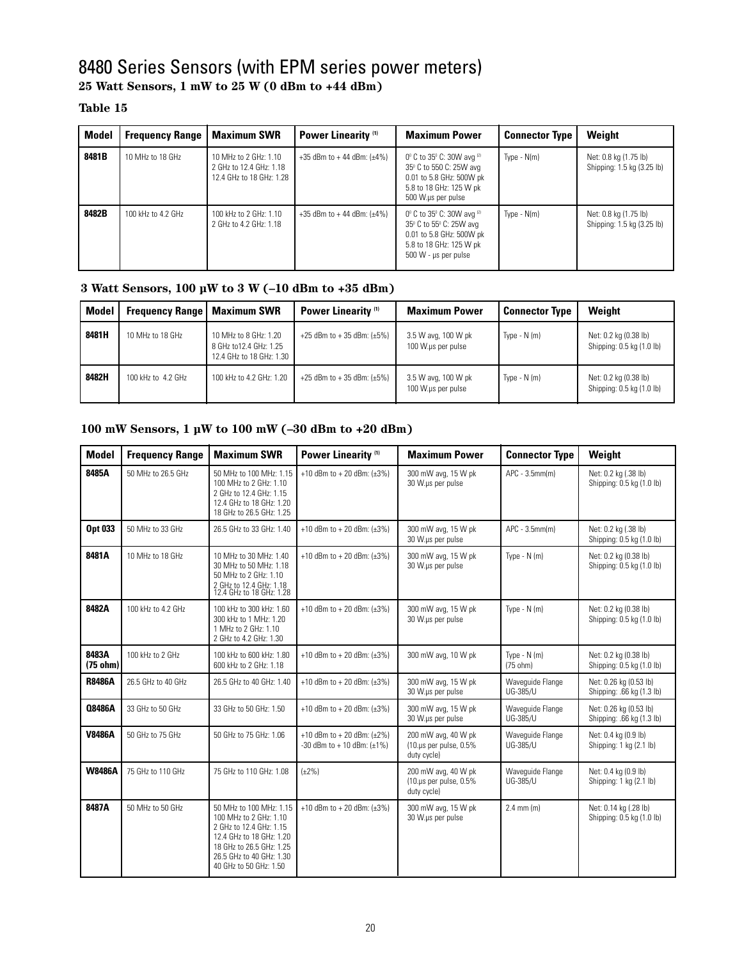## 8480 Series Sensors (with EPM series power meters)

**25 Watt Sensors, 1 mW to 25 W (0 dBm to +44 dBm)**

### **Table 15**

| <b>Model</b> | <b>Frequency Range</b> | <b>Maximum SWR</b>                                                           | <b>Power Linearity (1)</b>       | <b>Maximum Power</b>                                                                                                                   | <b>Connector Type</b> | Weight                                              |
|--------------|------------------------|------------------------------------------------------------------------------|----------------------------------|----------------------------------------------------------------------------------------------------------------------------------------|-----------------------|-----------------------------------------------------|
| 8481B        | 10 MHz to 18 GHz       | 10 MHz to 2 GHz: 1.10<br>2 GHz to 12.4 GHz: 1.18<br>12.4 GHz to 18 GHz: 1.28 | +35 dBm to + 44 dBm: $(\pm 4\%)$ | 0° C to 35° C: 30W avg $(2)$<br>35° C to 550 C: 25W avg<br>0.01 to 5.8 GHz: 500W pk<br>5.8 to 18 GHz: 125 W pk<br>500 W.us per pulse   | $Type - N(m)$         | Net: 0.8 kg (1.75 lb)<br>Shipping: 1.5 kg (3.25 lb) |
| 8482B        | 100 kHz to 4.2 GHz     | 100 kHz to 2 GHz: 1.10<br>2 GHz to 4.2 GHz: 1.18                             | +35 dBm to + 44 dBm: $(\pm 4\%)$ | 0° C to 35° C: 30W avg $(2)$<br>35° C to 55° C: 25W avg<br>0.01 to 5.8 GHz: 500W pk<br>5.8 to 18 GHz: 125 W pk<br>500 W - µs per pulse | $Type - N(m)$         | Net: 0.8 kg (1.75 lb)<br>Shipping: 1.5 kg (3.25 lb) |

### **3 Watt Sensors, 100 µW to 3 W (–10 dBm to +35 dBm)**

| <b>Model</b> | <b>Frequency Range   Maximum SWR</b> |                                                                              | <b>Power Linearity (1)</b>       | <b>Maximum Power</b>                      | <b>Connector Type</b> | Weight                                             |
|--------------|--------------------------------------|------------------------------------------------------------------------------|----------------------------------|-------------------------------------------|-----------------------|----------------------------------------------------|
| 8481H        | 10 MHz to 18 GHz                     | 10 MHz to 8 GHz: 1.20<br>8 GHz to 12.4 GHz: 1.25<br>12.4 GHz to 18 GHz: 1.30 | +25 dBm to + 35 dBm: $(\pm 5\%)$ | 3.5 W avg, 100 W pk<br>100 W.us per pulse | Type - $N(m)$         | Net: 0.2 kg (0.38 lb)<br>Shipping: 0.5 kg (1.0 lb) |
| 8482H        | 100 kHz to 4.2 GHz                   | 100 kHz to 4.2 GHz: 1.20                                                     | +25 dBm to + 35 dBm: $(\pm 5\%)$ | 3.5 W avg, 100 W pk<br>100 W.us per pulse | Type - $N(m)$         | Net: 0.2 kg (0.38 lb)<br>Shipping: 0.5 kg (1.0 lb) |

### **100 mW Sensors, 1 µW to 100 mW (–30 dBm to +20 dBm)**

| <b>Model</b>      | <b>Frequency Range</b> | <b>Maximum SWR</b>                                                                                                                                                                         | Power Linearity <sup>(1)</sup>                                       | <b>Maximum Power</b>                                         | <b>Connector Type</b>               | Weight                                              |
|-------------------|------------------------|--------------------------------------------------------------------------------------------------------------------------------------------------------------------------------------------|----------------------------------------------------------------------|--------------------------------------------------------------|-------------------------------------|-----------------------------------------------------|
| 8485A             | 50 MHz to 26.5 GHz     | 50 MHz to 100 MHz: 1.15<br>100 MHz to 2 GHz: 1.10<br>2 GHz to 12.4 GHz: 1.15<br>12.4 GHz to 18 GHz: 1.20<br>18 GHz to 26.5 GHz: 1.25                                                       | +10 dBm to + 20 dBm; $(\pm 3\%)$                                     | 300 mW avg, 15 W pk<br>30 W.us per pulse                     | $APC - 3.5mm(m)$                    | Net: 0.2 kg (.38 lb)<br>Shipping: 0.5 kg (1.0 lb)   |
| Opt 033           | 50 MHz to 33 GHz       | 26.5 GHz to 33 GHz: 1.40                                                                                                                                                                   | +10 dBm to + 20 dBm: $(\pm 3\%)$                                     | 300 mW avg, 15 W pk<br>30 W.us per pulse                     | $APC - 3.5mm(m)$                    | Net: 0.2 kg (.38 lb)<br>Shipping: 0.5 kg (1.0 lb)   |
| 8481A             | 10 MHz to 18 GHz       | 10 MHz to 30 MHz: 1.40<br>30 MHz to 50 MHz: 1.18<br>50 MHz to 2 GHz: 1.10<br>2 GHz to 12.4 GHz: 1.18<br>12.4 GHz to 18 GHz: 1.28                                                           | +10 dBm to + 20 dBm: $(\pm 3\%)$                                     | 300 mW avg, 15 W pk<br>30 W.us per pulse                     | Type - $N(m)$                       | Net: 0.2 kg (0.38 lb)<br>Shipping: 0.5 kg (1.0 lb)  |
| 8482A             | 100 kHz to 4.2 GHz     | 100 kHz to 300 kHz: 1.60<br>300 kHz to 1 MHz: 1.20<br>1 MHz to 2 GHz: 1.10<br>2 GHz to 4.2 GHz: 1.30                                                                                       | +10 dBm to + 20 dBm: $(\pm 3\%)$                                     | 300 mW avg, 15 W pk<br>30 W.us per pulse                     | Type - $N(m)$                       | Net: 0.2 kg (0.38 lb)<br>Shipping: 0.5 kg (1.0 lb)  |
| 8483A<br>(75 ohm) | 100 kHz to 2 GHz       | 100 kHz to 600 kHz: 1.80<br>600 kHz to 2 GHz: 1.18                                                                                                                                         | +10 dBm to + 20 dBm: $(\pm 3\%)$                                     | 300 mW avg, 10 W pk                                          | Type - $N(m)$<br>(75 ohm)           | Net: 0.2 kg (0.38 lb)<br>Shipping: 0.5 kg (1.0 lb)  |
| <b>R8486A</b>     | 26.5 GHz to 40 GHz     | 26.5 GHz to 40 GHz: 1.40                                                                                                                                                                   | +10 dBm to + 20 dBm: $(\pm 3\%)$                                     | 300 mW avg, 15 W pk<br>30 W.us per pulse                     | Wavequide Flange<br>UG-385/U        | Net: 0.26 kg (0.53 lb)<br>Shipping: .66 kg (1.3 lb) |
| <b>Q8486A</b>     | 33 GHz to 50 GHz       | 33 GHz to 50 GHz: 1.50                                                                                                                                                                     | +10 dBm to + 20 dBm: $(\pm 3\%)$                                     | 300 mW avg, 15 W pk<br>30 W.us per pulse                     | Wavequide Flange<br>UG-385/U        | Net: 0.26 kg (0.53 lb)<br>Shipping: .66 kg (1.3 lb) |
| <b>V8486A</b>     | 50 GHz to 75 GHz       | 50 GHz to 75 GHz: 1.06                                                                                                                                                                     | +10 dBm to + 20 dBm: $(\pm 2\%)$<br>-30 dBm to + 10 dBm: $(\pm 1\%)$ | 200 mW avg, 40 W pk<br>(10.µs per pulse, 0.5%<br>duty cycle) | Wavequide Flange<br><b>UG-385/U</b> | Net: 0.4 kg (0.9 lb)<br>Shipping: 1 kg (2.1 lb)     |
| <b>W8486A</b>     | 75 GHz to 110 GHz      | 75 GHz to 110 GHz: 1.08                                                                                                                                                                    | $(\pm 2\%)$                                                          | 200 mW avg, 40 W pk<br>(10.µs per pulse, 0.5%<br>duty cycle) | Wavequide Flange<br>UG-385/U        | Net: 0.4 kg (0.9 lb)<br>Shipping: 1 kg (2.1 lb)     |
| 8487A             | 50 MHz to 50 GHz       | 50 MHz to 100 MHz: 1.15<br>100 MHz to 2 GHz: 1.10<br>2 GHz to 12.4 GHz: 1.15<br>12.4 GHz to 18 GHz: 1.20<br>18 GHz to 26.5 GHz: 1.25<br>26.5 GHz to 40 GHz: 1.30<br>40 GHz to 50 GHz: 1.50 | +10 dBm to + 20 dBm: $(\pm 3\%)$                                     | 300 mW avg, 15 W pk<br>30 W.us per pulse                     | $2.4$ mm $(m)$                      | Net: 0.14 kg (.28 lb)<br>Shipping: 0.5 kg (1.0 lb)  |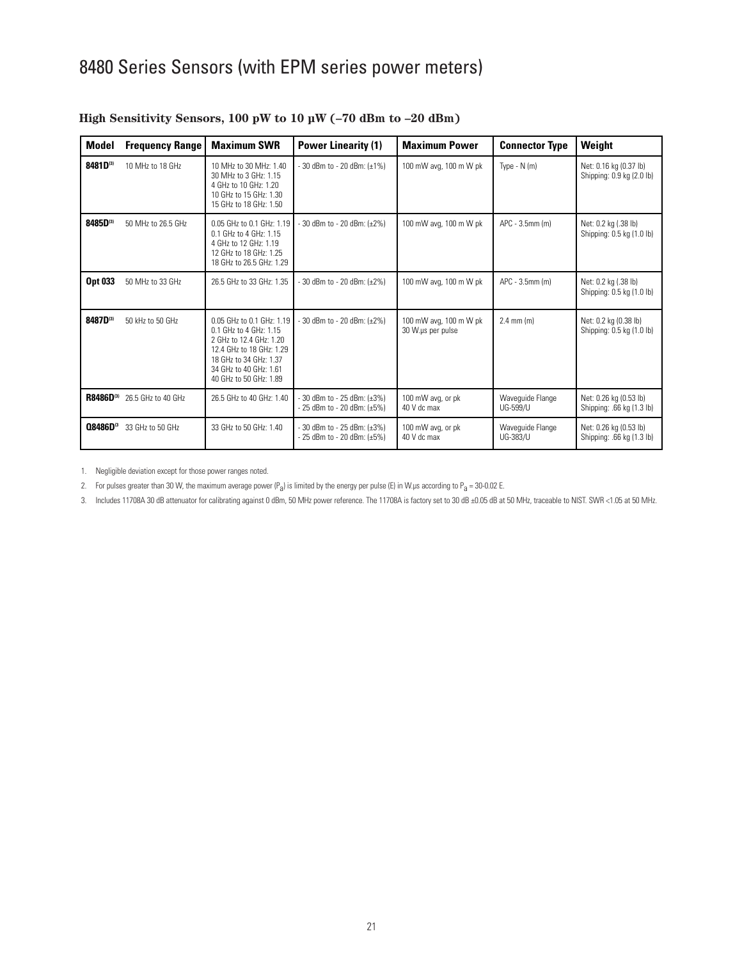## 8480 Series Sensors (with EPM series power meters)

| <b>Model</b>                | <b>Frequency Range</b> | <b>Maximum SWR</b>                                                                                                                                                                       | <b>Power Linearity (1)</b>                                           | <b>Maximum Power</b>                        | <b>Connector Type</b>        | Weight                                              |
|-----------------------------|------------------------|------------------------------------------------------------------------------------------------------------------------------------------------------------------------------------------|----------------------------------------------------------------------|---------------------------------------------|------------------------------|-----------------------------------------------------|
| 8481D(3)                    | 10 MHz to 18 GHz       | 10 MHz to 30 MHz: 1.40<br>30 MHz to 3 GHz: 1.15<br>4 GHz to 10 GHz: 1.20<br>10 GHz to 15 GHz: 1.30<br>15 GHz to 18 GHz: 1.50                                                             | $-30$ dBm to $-20$ dBm; ( $\pm$ 1%)                                  | 100 mW avg, 100 m W pk                      | Type - $N(m)$                | Net: 0.16 kg (0.37 lb)<br>Shipping: 0.9 kg (2.0 lb) |
| 8485D(3)                    | 50 MHz to 26.5 GHz     | 0.05 GHz to 0.1 GHz: 1.19<br>0.1 GHz to 4 GHz: 1.15<br>4 GHz to 12 GHz: 1.19<br>12 GHz to 18 GHz: 1.25<br>18 GHz to 26.5 GHz: 1.29                                                       | $-30$ dBm to $-20$ dBm: $(\pm 2\%)$                                  | 100 mW avg, 100 m W pk                      | APC - 3.5mm (m)              | Net: 0.2 kg (.38 lb)<br>Shipping: 0.5 kg (1.0 lb)   |
| Opt 033                     | 50 MHz to 33 GHz       | 26.5 GHz to 33 GHz: 1.35                                                                                                                                                                 | $-30$ dBm to $-20$ dBm: $(\pm 2\%)$                                  | 100 mW avg, 100 m W pk                      | APC - 3.5mm (m)              | Net: 0.2 kg (.38 lb)<br>Shipping: 0.5 kg (1.0 lb)   |
| 8487D(3)                    | 50 kHz to 50 GHz       | 0.05 GHz to 0.1 GHz: 1.19<br>0.1 GHz to 4 GHz: 1.15<br>2 GHz to 12.4 GHz: 1.20<br>12.4 GHz to 18 GHz: 1.29<br>18 GHz to 34 GHz: 1.37<br>34 GHz to 40 GHz: 1.61<br>40 GHz to 50 GHz: 1.89 | $-30$ dBm to $-20$ dBm: $(\pm 2\%)$                                  | 100 mW avg, 100 m W pk<br>30 W.us per pulse | $2.4$ mm $(m)$               | Net: 0.2 kg (0.38 lb)<br>Shipping: 0.5 kg (1.0 lb)  |
| R8486D <sup>(3)</sup>       | 26.5 GHz to 40 GHz     | 26.5 GHz to 40 GHz: 1.40                                                                                                                                                                 | $-30$ dBm to $-25$ dBm; ( $\pm 3\%$ )<br>- 25 dBm to - 20 dBm: (±5%) | 100 mW avg, or pk<br>40 V dc max            | Wavequide Flange<br>UG-599/U | Net: 0.26 kg (0.53 lb)<br>Shipping: .66 kg (1.3 lb) |
| <b>Q8486D</b> <sup>(3</sup> | 33 GHz to 50 GHz       | 33 GHz to 50 GHz: 1.40                                                                                                                                                                   | - 30 dBm to - 25 dBm: $(\pm 3\%)$<br>- 25 dBm to - 20 dBm: (±5%)     | 100 mW avg, or pk<br>40 V dc max            | Waveguide Flange<br>UG-383/U | Net: 0.26 kg (0.53 lb)<br>Shipping: .66 kg (1.3 lb) |

### **High Sensitivity Sensors, 100 pW to 10 µW (–70 dBm to –20 dBm)**

1. Negligible deviation except for those power ranges noted.

2. For pulses greater than 30 W, the maximum average power (P<sub>a</sub>) is limited by the energy per pulse (E) in W.µs according to P<sub>a</sub> = 30-0.02 E.

3. Includes 11708A 30 dB attenuator for calibrating against 0 dBm, 50 MHz power reference. The 11708A is factory set to 30 dB ±0.05 dB at 50 MHz, traceable to NIST. SWR <1.05 at 50 MHz.